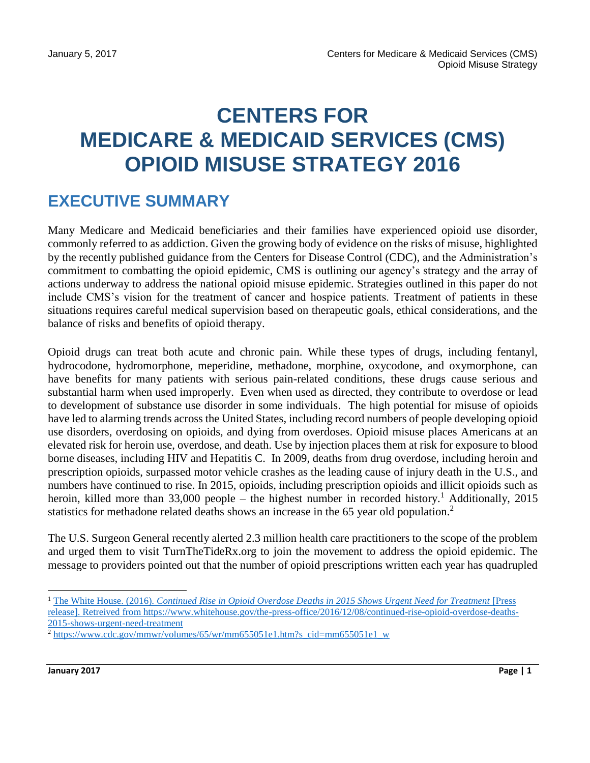# **CENTERS FOR MEDICARE & MEDICAID SERVICES (CMS) OPIOID MISUSE STRATEGY 2016**

## **EXECUTIVE SUMMARY**

Many Medicare and Medicaid beneficiaries and their families have experienced opioid use disorder, commonly referred to as addiction. Given the growing body of evidence on the risks of misuse, highlighted by the recently published guidance from the Centers for Disease Control (CDC), and the Administration's commitment to combatting the opioid epidemic, CMS is outlining our agency's strategy and the array of actions underway to address the national opioid misuse epidemic. Strategies outlined in this paper do not include CMS's vision for the treatment of cancer and hospice patients. Treatment of patients in these situations requires careful medical supervision based on therapeutic goals, ethical considerations, and the balance of risks and benefits of opioid therapy.

Opioid drugs can treat both acute and chronic pain. While these types of drugs, including fentanyl, hydrocodone, hydromorphone, meperidine, methadone, morphine, oxycodone, and oxymorphone, can have benefits for many patients with serious pain-related conditions, these drugs cause serious and substantial harm when used improperly. Even when used as directed, they contribute to overdose or lead to development of substance use disorder in some individuals. The high potential for misuse of opioids have led to alarming trends across the United States, including record numbers of people developing opioid use disorders, overdosing on opioids, and dying from overdoses. Opioid misuse places Americans at an elevated risk for heroin use, overdose, and death. Use by injection places them at risk for exposure to blood borne diseases, including HIV and Hepatitis C. In 2009, deaths from drug overdose, including heroin and prescription opioids, surpassed motor vehicle crashes as the leading cause of injury death in the U.S., and numbers have continued to rise. In 2015, opioids, including prescription opioids and illicit opioids such as heroin, killed more than 33,000 people – the highest number in recorded history.<sup>1</sup> Additionally, 2015 statistics for methadone related deaths shows an increase in the 65 year old population.<sup>2</sup>

The U.S. Surgeon General recently alerted 2.3 million health care practitioners to the scope of the problem and urged them to visit TurnTheTideRx.org to join the movement to address the opioid epidemic. The message to providers pointed out that the number of opioid prescriptions written each year has quadrupled

<sup>&</sup>lt;sup>1</sup> The White House. (2016). *Continued Rise in Opioid Overdose Deaths in 2015 Shows Urgent Need for Treatment* [Press [release\]. Retreived from https://www.whitehouse.gov/the-press-office/2016/12/08/continued-rise-opioid-overdose-deaths-](https://www.whitehouse.gov/the-press-office/2016/12/08/continued-rise-opioid-overdose-deaths-2015-shows-urgent-need-treatment)[2015-shows-urgent-need-treatment](https://www.whitehouse.gov/the-press-office/2016/12/08/continued-rise-opioid-overdose-deaths-2015-shows-urgent-need-treatment)

<sup>2</sup> [https://www.cdc.gov/mmwr/volumes/65/wr/mm655051e1.htm?s\\_cid=mm655051e1\\_w](https://www.cdc.gov/mmwr/volumes/65/wr/mm655051e1.htm?s_cid=mm655051e1_w)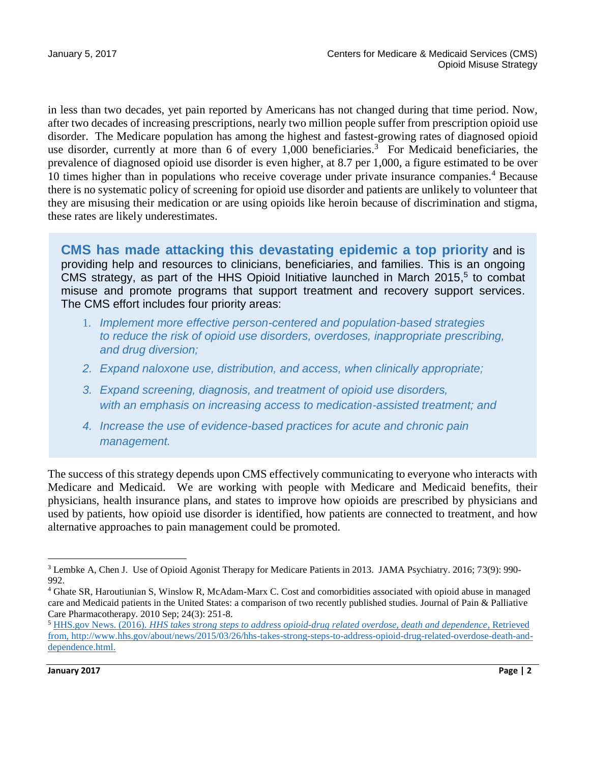in less than two decades, yet pain reported by Americans has not changed during that time period. Now, after two decades of increasing prescriptions, nearly two million people suffer from prescription opioid use disorder. The Medicare population has among the highest and fastest-growing rates of diagnosed opioid use disorder, currently at more than 6 of every  $1,000$  beneficiaries.<sup>3</sup> For Medicaid beneficiaries, the prevalence of diagnosed opioid use disorder is even higher, at 8.7 per 1,000, a figure estimated to be over 10 times higher than in populations who receive coverage under private insurance companies.<sup>4</sup> Because there is no systematic policy of screening for opioid use disorder and patients are unlikely to volunteer that they are misusing their medication or are using opioids like heroin because of discrimination and stigma, these rates are likely underestimates.

**CMS has made attacking this devastating epidemic a top priority** and is providing help and resources to clinicians, beneficiaries, and families. This is an ongoing CMS strategy, as part of the HHS Opioid Initiative launched in March 2015, 5 to combat misuse and promote programs that support treatment and recovery support services. The CMS effort includes four priority areas:

- 1. *Implement more effective person-centered and population-based strategies to reduce the risk of opioid use disorders, overdoses, inappropriate prescribing, and drug diversion;*
- *2. Expand naloxone use, distribution, and access, when clinically appropriate;*
- *3. Expand screening, diagnosis, and treatment of opioid use disorders, with an emphasis on increasing access to medication-assisted treatment; and*
- *4. Increase the use of evidence-based practices for acute and chronic pain management.*

The success of this strategy depends upon CMS effectively communicating to everyone who interacts with Medicare and Medicaid. We are working with people with Medicare and Medicaid benefits, their physicians, health insurance plans, and states to improve how opioids are prescribed by physicians and used by patients, how opioid use disorder is identified, how patients are connected to treatment, and how alternative approaches to pain management could be promoted.

 $\overline{a}$ <sup>3</sup> Lembke A, Chen J. Use of Opioid Agonist Therapy for Medicare Patients in 2013. JAMA Psychiatry. 2016; 73(9): 990- 992.

<sup>4</sup> Ghate SR, Haroutiunian S, Winslow R, McAdam-Marx C. Cost and comorbidities associated with opioid abuse in managed care and Medicaid patients in the United States: a comparison of two recently published studies. Journal of Pain & Palliative Care Pharmacotherapy. 2010 Sep; 24(3): 251-8.

<sup>5</sup> HHS.gov News. (2016). *[HHS takes strong steps to address opioid-drug related overdose, death and dependence](http://www.hhs.gov/about/news/2015/03/26/hhs-takes-strong-steps-to-address-opioid-drug-related-overdose-death-and-dependence.html)*, Retrieved from, [http://www.hhs.gov/about/news/2015/03/26/hhs-takes-strong-steps-to-address-opioid-drug-related-overdose-death-and](http://www.hhs.gov/about/news/2015/03/26/hhs-takes-strong-steps-to-address-opioid-drug-related-overdose-death-and-dependence.html)[dependence.html.](http://www.hhs.gov/about/news/2015/03/26/hhs-takes-strong-steps-to-address-opioid-drug-related-overdose-death-and-dependence.html)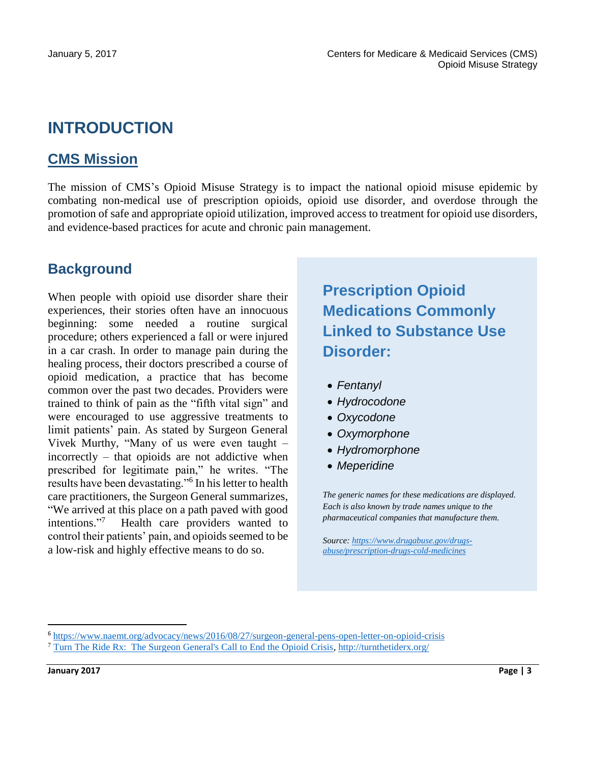## **INTRODUCTION**

## **CMS Mission**

The mission of CMS's Opioid Misuse Strategy is to impact the national opioid misuse epidemic by combating non-medical use of prescription opioids, opioid use disorder, and overdose through the promotion of safe and appropriate opioid utilization, improved access to treatment for opioid use disorders, and evidence-based practices for acute and chronic pain management.

## **Background**

When people with opioid use disorder share their experiences, their stories often have an innocuous beginning: some needed a routine surgical procedure; others experienced a fall or were injured in a car crash. In order to manage pain during the healing process, their doctors prescribed a course of opioid medication, a practice that has become common over the past two decades. Providers were trained to think of pain as the "fifth vital sign" and were encouraged to use aggressive treatments to limit patients' pain. As stated by Surgeon General Vivek Murthy, "Many of us were even taught – incorrectly – that opioids are not addictive when prescribed for legitimate pain," he writes. "The results have been devastating."<sup>6</sup> In his letter to health care practitioners, the Surgeon General summarizes, "We arrived at this place on a path paved with good intentions." <sup>7</sup> Health care providers wanted to control their patients' pain, and opioids seemed to be a low-risk and highly effective means to do so.

## **Prescription Opioid Medications Commonly Linked to Substance Use Disorder:**

- *Fentanyl*
- *Hydrocodone*
- *Oxycodone*
- *Oxymorphone*
- *Hydromorphone*
- *Meperidine*

*The generic names for these medications are displayed. Each is also known by trade names unique to the pharmaceutical companies that manufacture them.* 

*Source[: https://www.drugabuse.gov/drugs](https://www.drugabuse.gov/drugs-abuse/prescription-drugs-cold-medicines)[abuse/prescription-drugs-cold-medicines](https://www.drugabuse.gov/drugs-abuse/prescription-drugs-cold-medicines)*

<sup>6</sup> <https://www.naemt.org/advocacy/news/2016/08/27/surgeon-general-pens-open-letter-on-opioid-crisis>

<sup>7</sup> [Turn The Ride Rx: The Surgeon General's Call to End the Opioid Crisis, http://turnthetiderx.org/](http://turnthetiderx.org/)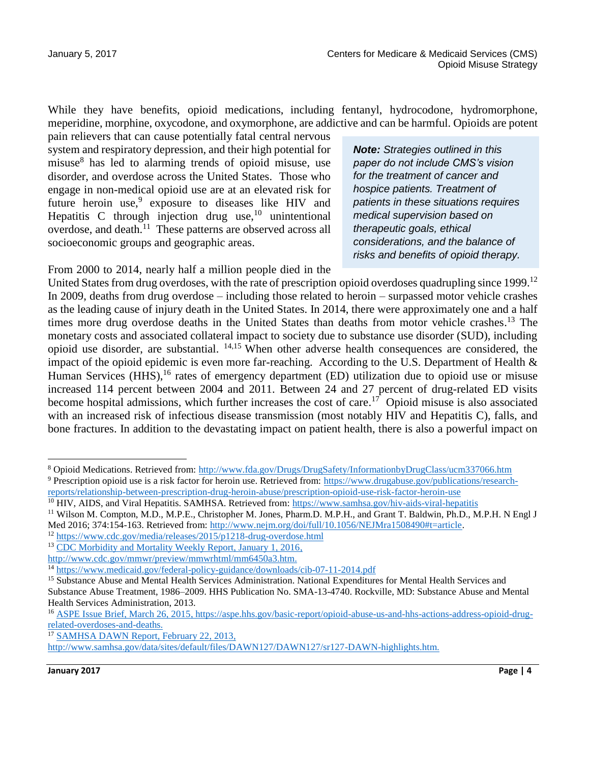While they have benefits, opioid medications, including fentanyl, hydrocodone, hydromorphone, meperidine, morphine, oxycodone, and oxymorphone, are addictive and can be harmful. Opioids are potent

pain relievers that can cause potentially fatal central nervous system and respiratory depression, and their high potential for misuse<sup>8</sup> has led to alarming trends of opioid misuse, use disorder, and overdose across the United States. Those who engage in non-medical opioid use are at an elevated risk for future heroin use,<sup>9</sup> exposure to diseases like HIV and Hepatitis C through injection drug use, $10$  unintentional overdose, and death.<sup>11</sup> These patterns are observed across all socioeconomic groups and geographic areas.

From 2000 to 2014, nearly half a million people died in the

*Note: Strategies outlined in this paper do not include CMS's vision for the treatment of cancer and hospice patients. Treatment of patients in these situations requires medical supervision based on therapeutic goals, ethical considerations, and the balance of risks and benefits of opioid therapy.*

United States from drug overdoses, with the rate of prescription opioid overdoses quadrupling since 1999.<sup>12</sup> In 2009, deaths from drug overdose – including those related to heroin – surpassed motor vehicle crashes as the leading cause of injury death in the United States. In 2014, there were approximately one and a half times more drug overdose deaths in the United States than deaths from motor vehicle crashes.<sup>13</sup> The monetary costs and associated collateral impact to society due to substance use disorder (SUD), including opioid use disorder, are substantial. 14,15 When other adverse health consequences are considered, the impact of the opioid epidemic is even more far-reaching. According to the U.S. Department of Health  $\&$ Human Services (HHS),<sup>16</sup> rates of emergency department (ED) utilization due to opioid use or misuse increased 114 percent between 2004 and 2011. Between 24 and 27 percent of drug-related ED visits become hospital admissions, which further increases the cost of care.<sup>17</sup> Opioid misuse is also associated with an increased risk of infectious disease transmission (most notably HIV and Hepatitis C), falls, and bone fractures. In addition to the devastating impact on patient health, there is also a powerful impact on

<sup>8</sup> Opioid Medications. Retrieved from:<http://www.fda.gov/Drugs/DrugSafety/InformationbyDrugClass/ucm337066.htm> <sup>9</sup> Prescription opioid use is a risk factor for heroin use. Retrieved from: [https://www.drugabuse.gov/publications/research-](https://www.drugabuse.gov/publications/research-reports/relationship-between-prescription-drug-heroin-abuse/prescription-opioid-use-risk-factor-heroin-use)

[reports/relationship-between-prescription-drug-heroin-abuse/prescription-opioid-use-risk-factor-heroin-use](https://www.drugabuse.gov/publications/research-reports/relationship-between-prescription-drug-heroin-abuse/prescription-opioid-use-risk-factor-heroin-use)

<sup>10</sup> HIV, AIDS, and Viral Hepatitis. SAMHSA. Retrieved from: <https://www.samhsa.gov/hiv-aids-viral-hepatitis>

<sup>11</sup> Wilson M. Compton, M.D., M.P.E., Christopher M. Jones, Pharm.D. M.P.H., and Grant T. Baldwin, Ph.D., M.P.H. N Engl J Med 2016; 374:154-163. Retrieved from: [http://www.nejm.org/doi/full/10.1056/NEJMra1508490#t=article.](http://www.nejm.org/doi/full/10.1056/NEJMra1508490#t=article)

<sup>12</sup> <https://www.cdc.gov/media/releases/2015/p1218-drug-overdose.html>

<sup>&</sup>lt;sup>13</sup> [CDC Morbidity and Mortality Weekly Report, January 1, 2016,](http://www.cdc.gov/mmwr/preview/mmwrhtml/mm6450a3.htm)

[http://www.cdc.gov/mmwr/preview/mmwrhtml/mm6450a3.htm.](http://www.cdc.gov/mmwr/preview/mmwrhtml/mm6450a3.htm)

<sup>&</sup>lt;sup>14</sup> <https://www.medicaid.gov/federal-policy-guidance/downloads/cib-07-11-2014.pdf>

<sup>&</sup>lt;sup>15</sup> Substance Abuse and Mental Health Services Administration. National Expenditures for Mental Health Services and Substance Abuse Treatment, 1986–2009. HHS Publication No. SMA-13-4740. Rockville, MD: Substance Abuse and Mental Health Services Administration, 2013.

<sup>16</sup> [ASPE Issue Brief, March 26, 2015, https://aspe.hhs.gov/basic-report/opioid-abuse-us-and-hhs-actions-address-opioid-drug](https://aspe.hhs.gov/basic-report/opioid-abuse-us-and-hhs-actions-address-opioid-drug-related-overdoses-and-deaths)[related-overdoses-and-deaths.](https://aspe.hhs.gov/basic-report/opioid-abuse-us-and-hhs-actions-address-opioid-drug-related-overdoses-and-deaths)

<sup>&</sup>lt;sup>17</sup> SAMHSA DAWN Report, February 22, 2013,

[http://www.samhsa.gov/data/sites/default/files/DAWN127/DAWN127/sr127-DAWN-highlights.htm.](http://www.samhsa.gov/data/sites/default/files/DAWN127/DAWN127/sr127-DAWN-highlights.htm)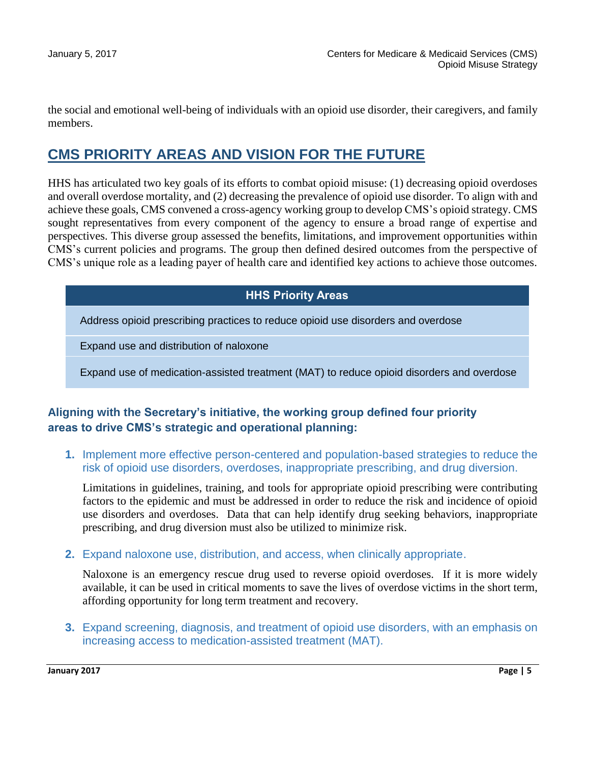the social and emotional well-being of individuals with an opioid use disorder, their caregivers, and family members.

## **CMS PRIORITY AREAS AND VISION FOR THE FUTURE**

HHS has articulated two key goals of its efforts to combat opioid misuse: (1) decreasing opioid overdoses and overall overdose mortality, and (2) decreasing the prevalence of opioid use disorder. To align with and achieve these goals, CMS convened a cross-agency working group to develop CMS's opioid strategy. CMS sought representatives from every component of the agency to ensure a broad range of expertise and perspectives. This diverse group assessed the benefits, limitations, and improvement opportunities within CMS's current policies and programs. The group then defined desired outcomes from the perspective of CMS's unique role as a leading payer of health care and identified key actions to achieve those outcomes.

#### **HHS Priority Areas**

Address opioid prescribing practices to reduce opioid use disorders and overdose

Expand use and distribution of naloxone

Expand use of medication-assisted treatment (MAT) to reduce opioid disorders and overdose

#### **Aligning with the Secretary's initiative, the working group defined four priority areas to drive CMS's strategic and operational planning:**

**1.** Implement more effective person-centered and population-based strategies to reduce the risk of opioid use disorders, overdoses, inappropriate prescribing, and drug diversion.

Limitations in guidelines, training, and tools for appropriate opioid prescribing were contributing factors to the epidemic and must be addressed in order to reduce the risk and incidence of opioid use disorders and overdoses. Data that can help identify drug seeking behaviors, inappropriate prescribing, and drug diversion must also be utilized to minimize risk.

**2.** Expand naloxone use, distribution, and access, when clinically appropriate.

Naloxone is an emergency rescue drug used to reverse opioid overdoses. If it is more widely available, it can be used in critical moments to save the lives of overdose victims in the short term, affording opportunity for long term treatment and recovery.

**3.** Expand screening, diagnosis, and treatment of opioid use disorders, with an emphasis on increasing access to medication-assisted treatment (MAT).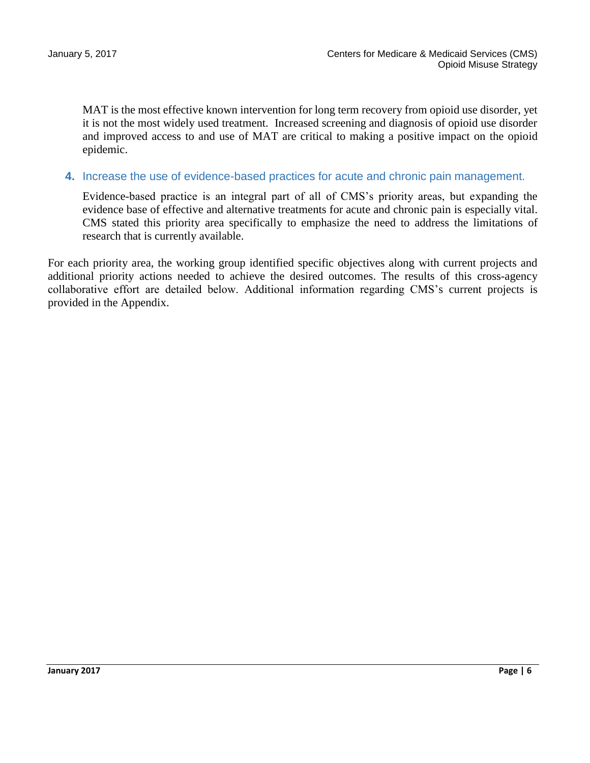MAT is the most effective known intervention for long term recovery from opioid use disorder, yet it is not the most widely used treatment. Increased screening and diagnosis of opioid use disorder and improved access to and use of MAT are critical to making a positive impact on the opioid epidemic.

#### **4.** Increase the use of evidence-based practices for acute and chronic pain management.

Evidence-based practice is an integral part of all of CMS's priority areas, but expanding the evidence base of effective and alternative treatments for acute and chronic pain is especially vital. CMS stated this priority area specifically to emphasize the need to address the limitations of research that is currently available.

For each priority area, the working group identified specific objectives along with current projects and additional priority actions needed to achieve the desired outcomes. The results of this cross-agency collaborative effort are detailed below. Additional information regarding CMS's current projects is provided in the Appendix.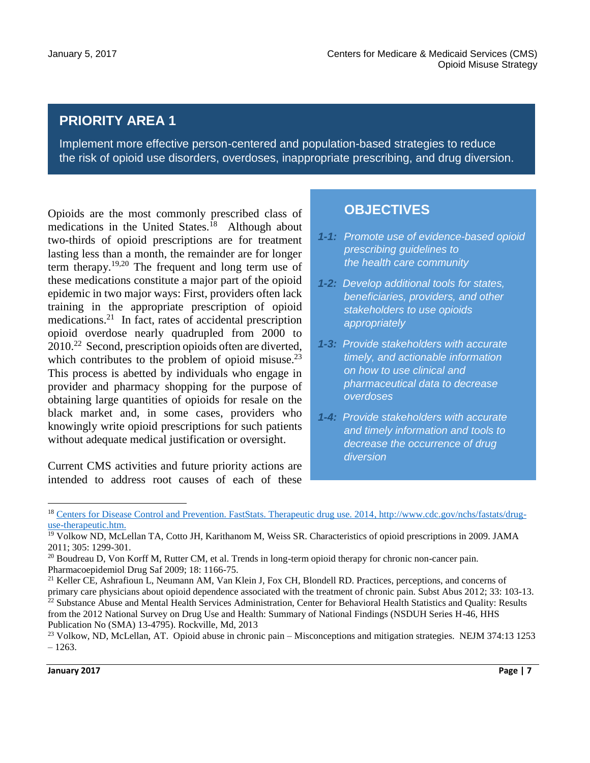## **PRIORITY AREA 1**

Implement more effective person-centered and population-based strategies to reduce the risk of opioid use disorders, overdoses, inappropriate prescribing, and drug diversion.

Opioids are the most commonly prescribed class of medications in the United States.<sup>18</sup> Although about two-thirds of opioid prescriptions are for treatment lasting less than a month, the remainder are for longer term therapy.19,20 The frequent and long term use of these medications constitute a major part of the opioid epidemic in two major ways: First, providers often lack training in the appropriate prescription of opioid medications.<sup>21</sup> In fact, rates of accidental prescription opioid overdose nearly quadrupled from 2000 to 2010.<sup>22</sup> Second, prescription opioids often are diverted, which contributes to the problem of opioid misuse. $^{23}$ This process is abetted by individuals who engage in provider and pharmacy shopping for the purpose of obtaining large quantities of opioids for resale on the black market and, in some cases, providers who knowingly write opioid prescriptions for such patients without adequate medical justification or oversight.

Current CMS activities and future priority actions are intended to address root causes of each of these

#### **OBJECTIVES**

- *1-1: Promote use of evidence-based opioid prescribing guidelines to the health care community*
- *1-2: Develop additional tools for states, beneficiaries, providers, and other stakeholders to use opioids appropriately*
- *1-3: Provide stakeholders with accurate timely, and actionable information on how to use clinical and pharmaceutical data to decrease overdoses*
- *1-4: Provide stakeholders with accurate and timely information and tools to decrease the occurrence of drug diversion*

 $\ddot{\phantom{a}}$ 

<sup>18</sup> [Centers for Disease Control and Prevention. FastStats. Therapeutic drug use. 2014, http://www.cdc.gov/nchs/fastats/drug](http://www.cdc.gov/nchs/fastats/drug-use-therapeutic.htm)[use-therapeutic.htm.](http://www.cdc.gov/nchs/fastats/drug-use-therapeutic.htm)

<sup>&</sup>lt;sup>19</sup> Volkow ND, McLellan TA, Cotto JH, Karithanom M, Weiss SR. Characteristics of opioid prescriptions in 2009. JAMA 2011; 305: 1299-301.

<sup>&</sup>lt;sup>20</sup> Boudreau D, Von Korff M, Rutter CM, et al. Trends in long-term opioid therapy for chronic non-cancer pain. Pharmacoepidemiol Drug Saf 2009; 18: 1166-75.

<sup>&</sup>lt;sup>21</sup> Keller CE, Ashrafioun L, Neumann AM, Van Klein J, Fox CH, Blondell RD. Practices, perceptions, and concerns of primary care physicians about opioid dependence associated with the treatment of chronic pain. Subst Abus 2012; 33: 103-13.  $22$  Substance Abuse and Mental Health Services Administration, Center for Behavioral Health Statistics and Quality: Results from the 2012 National Survey on Drug Use and Health: Summary of National Findings (NSDUH Series H-46, HHS Publication No (SMA) 13-4795). Rockville, Md, 2013

<sup>&</sup>lt;sup>23</sup> Volkow, ND, McLellan, AT. Opioid abuse in chronic pain – Misconceptions and mitigation strategies. NEJM 374:13 1253  $-1263.$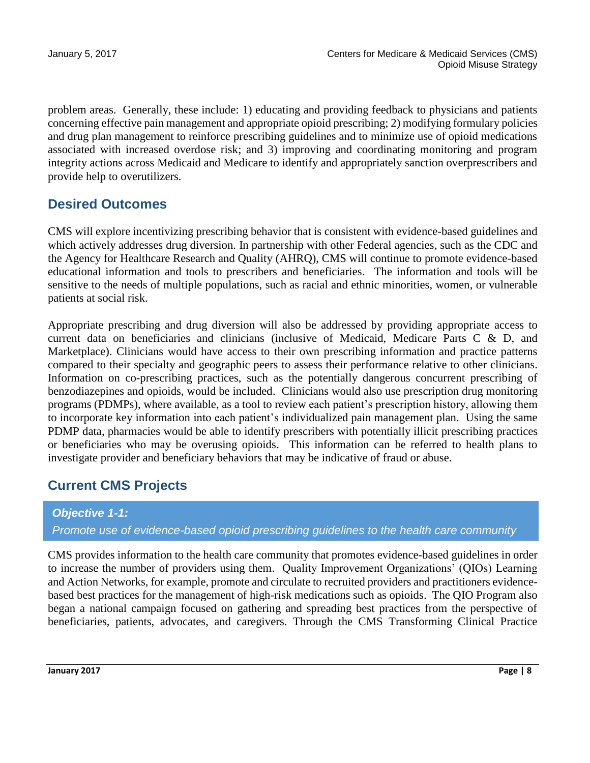problem areas. Generally, these include: 1) educating and providing feedback to physicians and patients concerning effective pain management and appropriate opioid prescribing; 2) modifying formulary policies and drug plan management to reinforce prescribing guidelines and to minimize use of opioid medications associated with increased overdose risk; and 3) improving and coordinating monitoring and program integrity actions across Medicaid and Medicare to identify and appropriately sanction overprescribers and provide help to overutilizers.

## **Desired Outcomes**

CMS will explore incentivizing prescribing behavior that is consistent with evidence-based guidelines and which actively addresses drug diversion. In partnership with other Federal agencies, such as the CDC and the Agency for Healthcare Research and Quality (AHRQ), CMS will continue to promote evidence-based educational information and tools to prescribers and beneficiaries. The information and tools will be sensitive to the needs of multiple populations, such as racial and ethnic minorities, women, or vulnerable patients at social risk.

Appropriate prescribing and drug diversion will also be addressed by providing appropriate access to current data on beneficiaries and clinicians (inclusive of Medicaid, Medicare Parts C & D, and Marketplace). Clinicians would have access to their own prescribing information and practice patterns compared to their specialty and geographic peers to assess their performance relative to other clinicians. Information on co-prescribing practices, such as the potentially dangerous concurrent prescribing of benzodiazepines and opioids, would be included. Clinicians would also use prescription drug monitoring programs (PDMPs), where available, as a tool to review each patient's prescription history, allowing them to incorporate key information into each patient's individualized pain management plan. Using the same PDMP data, pharmacies would be able to identify prescribers with potentially illicit prescribing practices or beneficiaries who may be overusing opioids. This information can be referred to health plans to investigate provider and beneficiary behaviors that may be indicative of fraud or abuse.

## **Current CMS Projects**

#### *Objective 1-1:*

*Promote use of evidence-based opioid prescribing guidelines to the health care community*

CMS provides information to the health care community that promotes evidence-based guidelines in order to increase the number of providers using them. Quality Improvement Organizations' (QIOs) Learning and Action Networks, for example, promote and circulate to recruited providers and practitioners evidencebased best practices for the management of high-risk medications such as opioids. The QIO Program also began a national campaign focused on gathering and spreading best practices from the perspective of beneficiaries, patients, advocates, and caregivers. Through the CMS Transforming Clinical Practice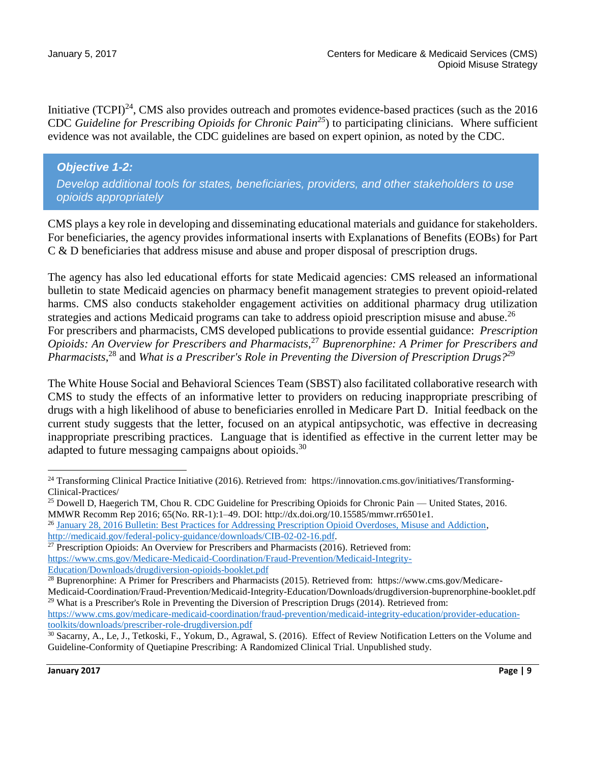Initiative (TCPI)<sup>24</sup>, CMS also provides outreach and promotes evidence-based practices (such as the 2016 CDC *Guideline for Prescribing Opioids for Chronic Pain<sup>25</sup>*) to participating clinicians. Where sufficient evidence was not available, the CDC guidelines are based on expert opinion, as noted by the CDC.

#### *Objective 1-2: Develop additional tools for states, beneficiaries, providers, and other stakeholders to use opioids appropriately*

CMS plays a key role in developing and disseminating educational materials and guidance for stakeholders. For beneficiaries, the agency provides informational inserts with Explanations of Benefits (EOBs) for Part C & D beneficiaries that address misuse and abuse and proper disposal of prescription drugs.

The agency has also led educational efforts for state Medicaid agencies: CMS released an informational bulletin to state Medicaid agencies on pharmacy benefit management strategies to prevent opioid-related harms. CMS also conducts stakeholder engagement activities on additional pharmacy drug utilization strategies and actions Medicaid programs can take to address opioid prescription misuse and abuse.<sup>26</sup> For prescribers and pharmacists, CMS developed publications to provide essential guidance: *Prescription Opioids: An Overview for Prescribers and Pharmacists*, <sup>27</sup> *Buprenorphine: A Primer for Prescribers and Pharmacists*, <sup>28</sup> and *What is a Prescriber's Role in Preventing the Diversion of Prescription Drugs?<sup>29</sup>*

The White House Social and Behavioral Sciences Team (SBST) also facilitated collaborative research with CMS to study the effects of an informative letter to providers on reducing inappropriate prescribing of drugs with a high likelihood of abuse to beneficiaries enrolled in Medicare Part D. Initial feedback on the current study suggests that the letter, focused on an atypical antipsychotic, was effective in decreasing inappropriate prescribing practices. Language that is identified as effective in the current letter may be adapted to future messaging campaigns about opioids.<sup>30</sup>

 $\ddot{\phantom{a}}$ 

<sup>&</sup>lt;sup>24</sup> Transforming Clinical Practice Initiative (2016). Retrieved from: https://innovation.cms.gov/initiatives/Transforming-Clinical-Practices/

<sup>&</sup>lt;sup>25</sup> Dowell D, Haegerich TM, Chou R. CDC Guideline for Prescribing Opioids for Chronic Pain — United States, 2016. MMWR Recomm Rep 2016; 65(No. RR-1):1–49. DOI: http://dx.doi.org/10.15585/mmwr.rr6501e1.

<sup>26</sup> [January 28, 2016 Bulletin: Best Practices for Addressing Prescription Opioid Overdoses, Misuse and Addiction,](http://medicaid.gov/federal-policy-guidance/downloads/CIB-02-02-16.pdf) [http://medicaid.gov/federal-policy-guidance/downloads/CIB-02-02-16.pdf.](http://medicaid.gov/federal-policy-guidance/downloads/CIB-02-02-16.pdf) 

<sup>&</sup>lt;sup>27</sup> Prescription Opioids: An Overview for Prescribers and Pharmacists (2016). Retrieved from: [https://www.cms.gov/Medicare-Medicaid-Coordination/Fraud-Prevention/Medicaid-Integrity-](https://www.cms.gov/Medicare-Medicaid-Coordination/Fraud-Prevention/Medicaid-Integrity-Education/Downloads/drugdiversion-opioids-booklet.pdf)[Education/Downloads/drugdiversion-opioids-booklet.pdf](https://www.cms.gov/Medicare-Medicaid-Coordination/Fraud-Prevention/Medicaid-Integrity-Education/Downloads/drugdiversion-opioids-booklet.pdf)

<sup>28</sup> Buprenorphine: A Primer for Prescribers and Pharmacists (2015). Retrieved from: https://www.cms.gov/Medicare-

Medicaid-Coordination/Fraud-Prevention/Medicaid-Integrity-Education/Downloads/drugdiversion-buprenorphine-booklet.pdf <sup>29</sup> What is a Prescriber's Role in Preventing the Diversion of Prescription Drugs (2014). Retrieved from:

[https://www.cms.gov/medicare-medicaid-coordination/fraud-prevention/medicaid-integrity-education/provider-education](https://www.cms.gov/medicare-medicaid-coordination/fraud-prevention/medicaid-integrity-education/provider-education-toolkits/downloads/prescriber-role-drugdiversion.pdf)[toolkits/downloads/prescriber-role-drugdiversion.pdf](https://www.cms.gov/medicare-medicaid-coordination/fraud-prevention/medicaid-integrity-education/provider-education-toolkits/downloads/prescriber-role-drugdiversion.pdf)

<sup>30</sup> Sacarny, A., Le, J., Tetkoski, F., Yokum, D., Agrawal, S. (2016). Effect of Review Notification Letters on the Volume and Guideline-Conformity of Quetiapine Prescribing: A Randomized Clinical Trial. Unpublished study.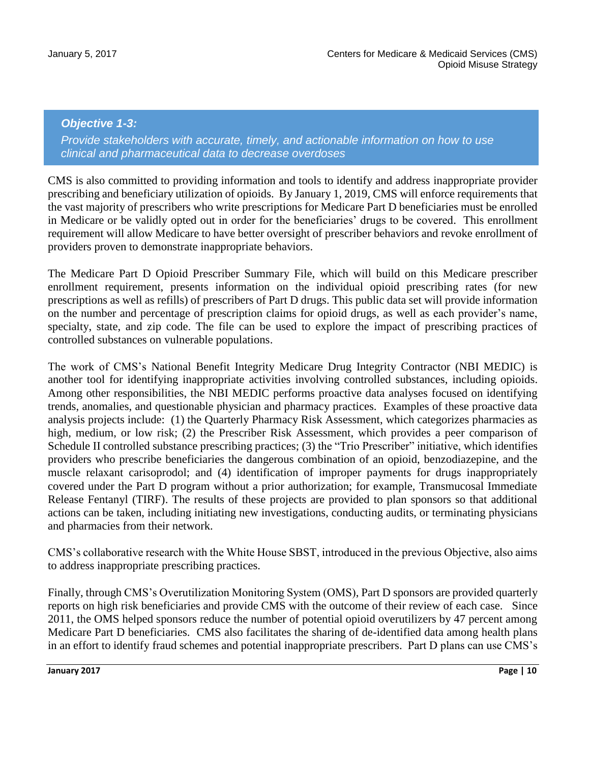#### *Objective 1-3:*

*Provide stakeholders with accurate, timely, and actionable information on how to use clinical and pharmaceutical data to decrease overdoses*

CMS is also committed to providing information and tools to identify and address inappropriate provider prescribing and beneficiary utilization of opioids. By January 1, 2019, CMS will enforce requirements that the vast majority of prescribers who write prescriptions for Medicare Part D beneficiaries must be enrolled in Medicare or be validly opted out in order for the beneficiaries' drugs to be covered. This enrollment requirement will allow Medicare to have better oversight of prescriber behaviors and revoke enrollment of providers proven to demonstrate inappropriate behaviors.

The Medicare Part D Opioid Prescriber Summary File, which will build on this Medicare prescriber enrollment requirement, presents information on the individual opioid prescribing rates (for new prescriptions as well as refills) of prescribers of Part D drugs. This public data set will provide information on the number and percentage of prescription claims for opioid drugs, as well as each provider's name, specialty, state, and zip code. The file can be used to explore the impact of prescribing practices of controlled substances on vulnerable populations.

The work of CMS's National Benefit Integrity Medicare Drug Integrity Contractor (NBI MEDIC) is another tool for identifying inappropriate activities involving controlled substances, including opioids. Among other responsibilities, the NBI MEDIC performs proactive data analyses focused on identifying trends, anomalies, and questionable physician and pharmacy practices. Examples of these proactive data analysis projects include: (1) the Quarterly Pharmacy Risk Assessment, which categorizes pharmacies as high, medium, or low risk; (2) the Prescriber Risk Assessment, which provides a peer comparison of Schedule II controlled substance prescribing practices; (3) the "Trio Prescriber" initiative, which identifies providers who prescribe beneficiaries the dangerous combination of an opioid, benzodiazepine, and the muscle relaxant carisoprodol; and (4) identification of improper payments for drugs inappropriately covered under the Part D program without a prior authorization; for example, Transmucosal Immediate Release Fentanyl (TIRF). The results of these projects are provided to plan sponsors so that additional actions can be taken, including initiating new investigations, conducting audits, or terminating physicians and pharmacies from their network.

CMS's collaborative research with the White House SBST, introduced in the previous Objective, also aims to address inappropriate prescribing practices.

Finally, through CMS's Overutilization Monitoring System (OMS), Part D sponsors are provided quarterly reports on high risk beneficiaries and provide CMS with the outcome of their review of each case. Since 2011, the OMS helped sponsors reduce the number of potential opioid overutilizers by 47 percent among Medicare Part D beneficiaries. CMS also facilitates the sharing of de-identified data among health plans in an effort to identify fraud schemes and potential inappropriate prescribers. Part D plans can use CMS's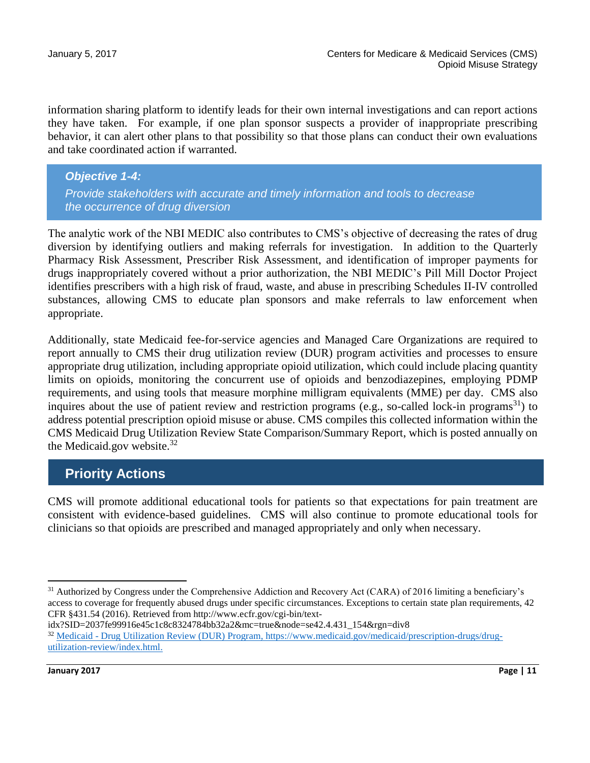information sharing platform to identify leads for their own internal investigations and can report actions they have taken. For example, if one plan sponsor suspects a provider of inappropriate prescribing behavior, it can alert other plans to that possibility so that those plans can conduct their own evaluations and take coordinated action if warranted.

*Objective 1-4: Provide stakeholders with accurate and timely information and tools to decrease the occurrence of drug diversion*

The analytic work of the NBI MEDIC also contributes to CMS's objective of decreasing the rates of drug diversion by identifying outliers and making referrals for investigation. In addition to the Quarterly Pharmacy Risk Assessment, Prescriber Risk Assessment, and identification of improper payments for drugs inappropriately covered without a prior authorization, the NBI MEDIC's Pill Mill Doctor Project identifies prescribers with a high risk of fraud, waste, and abuse in prescribing Schedules II-IV controlled substances, allowing CMS to educate plan sponsors and make referrals to law enforcement when appropriate.

Additionally, state Medicaid fee-for-service agencies and Managed Care Organizations are required to report annually to CMS their drug utilization review (DUR) program activities and processes to ensure appropriate drug utilization, including appropriate opioid utilization, which could include placing quantity limits on opioids, monitoring the concurrent use of opioids and benzodiazepines, employing PDMP requirements, and using tools that measure morphine milligram equivalents (MME) per day. CMS also inquires about the use of patient review and restriction programs (e.g., so-called lock-in programs<sup>31</sup>) to address potential prescription opioid misuse or abuse. CMS compiles this collected information within the CMS Medicaid Drug Utilization Review State Comparison/Summary Report, which is posted annually on the Medicaid.gov website.<sup>32</sup>

## **Priority Actions**

CMS will promote additional educational tools for patients so that expectations for pain treatment are consistent with evidence-based guidelines. CMS will also continue to promote educational tools for clinicians so that opioids are prescribed and managed appropriately and only when necessary.

idx?SID=2037fe99916e45c1c8c8324784bb32a2&mc=true&node=se42.4.431\_154&rgn=div8 <sup>32</sup> Medicaid - [Drug Utilization Review \(DUR\) Program, https://www.medicaid.gov/medicaid/prescription-drugs/drug](https://www.medicaid.gov/medicaid/prescription-drugs/drug-utilization-review/index.html)[utilization-review/index.html.](https://www.medicaid.gov/medicaid/prescription-drugs/drug-utilization-review/index.html)

 $31$  Authorized by Congress under the Comprehensive Addiction and Recovery Act (CARA) of 2016 limiting a beneficiary's access to coverage for frequently abused drugs under specific circumstances. Exceptions to certain state plan requirements, 42 CFR §431.54 (2016). Retrieved from http://www.ecfr.gov/cgi-bin/text-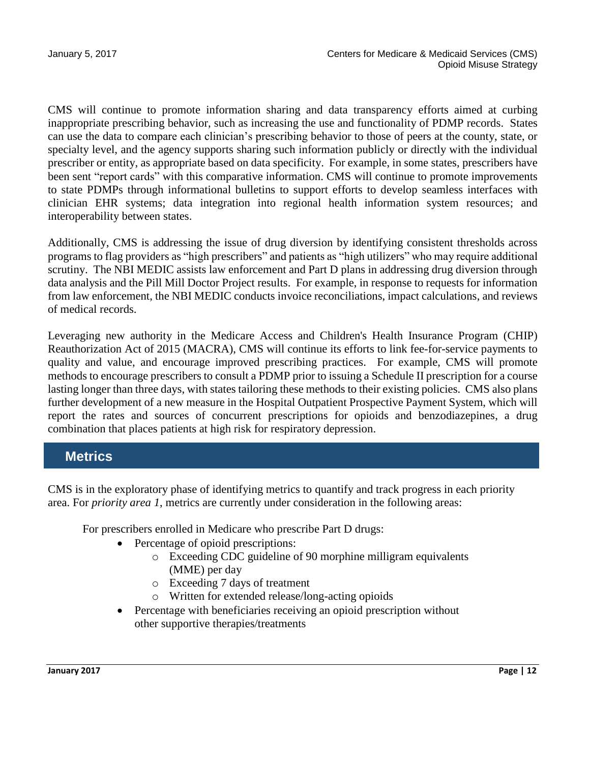CMS will continue to promote information sharing and data transparency efforts aimed at curbing inappropriate prescribing behavior, such as increasing the use and functionality of PDMP records. States can use the data to compare each clinician's prescribing behavior to those of peers at the county, state, or specialty level, and the agency supports sharing such information publicly or directly with the individual prescriber or entity, as appropriate based on data specificity. For example, in some states, prescribers have been sent "report cards" with this comparative information. CMS will continue to promote improvements to state PDMPs through informational bulletins to support efforts to develop seamless interfaces with clinician EHR systems; data integration into regional health information system resources; and interoperability between states.

Additionally, CMS is addressing the issue of drug diversion by identifying consistent thresholds across programs to flag providers as "high prescribers" and patients as "high utilizers" who may require additional scrutiny. The NBI MEDIC assists law enforcement and Part D plans in addressing drug diversion through data analysis and the Pill Mill Doctor Project results. For example, in response to requests for information from law enforcement, the NBI MEDIC conducts invoice reconciliations, impact calculations, and reviews of medical records.

Leveraging new authority in the Medicare Access and Children's Health Insurance Program (CHIP) Reauthorization Act of 2015 (MACRA), CMS will continue its efforts to link fee-for-service payments to quality and value, and encourage improved prescribing practices. For example, CMS will promote methods to encourage prescribers to consult a PDMP prior to issuing a Schedule II prescription for a course lasting longer than three days, with states tailoring these methods to their existing policies. CMS also plans further development of a new measure in the Hospital Outpatient Prospective Payment System, which will report the rates and sources of concurrent prescriptions for opioids and benzodiazepines, a drug combination that places patients at high risk for respiratory depression.

## **Metrics**

CMS is in the exploratory phase of identifying metrics to quantify and track progress in each priority area. For *priority area 1*, metrics are currently under consideration in the following areas:

For prescribers enrolled in Medicare who prescribe Part D drugs:

- Percentage of opioid prescriptions:
	- o Exceeding CDC guideline of 90 morphine milligram equivalents (MME) per day
	- o Exceeding 7 days of treatment
	- o Written for extended release/long-acting opioids
- Percentage with beneficiaries receiving an opioid prescription without other supportive therapies/treatments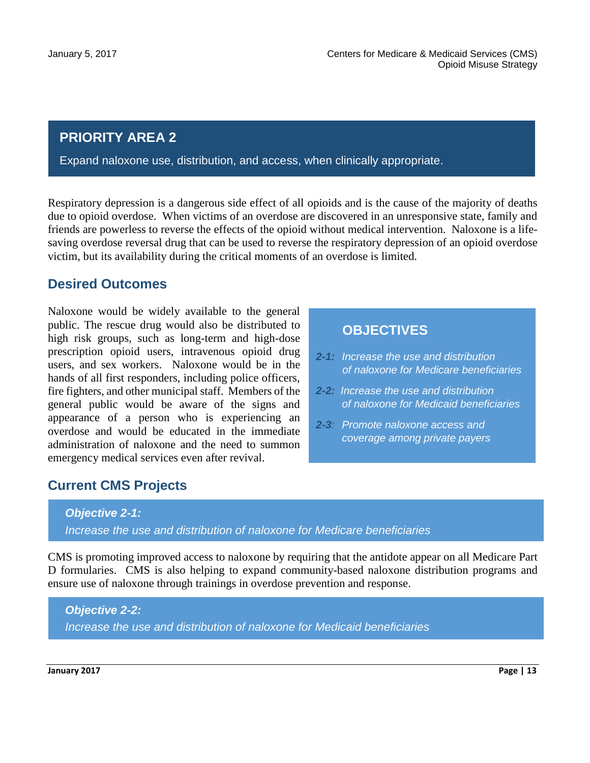#### **PRIORITY AREA 2**

Expand naloxone use, distribution, and access, when clinically appropriate.

Respiratory depression is a dangerous side effect of all opioids and is the cause of the majority of deaths due to opioid overdose. When victims of an overdose are discovered in an unresponsive state, family and friends are powerless to reverse the effects of the opioid without medical intervention. Naloxone is a lifesaving overdose reversal drug that can be used to reverse the respiratory depression of an opioid overdose victim, but its availability during the critical moments of an overdose is limited.

#### **Desired Outcomes**

Naloxone would be widely available to the general public. The rescue drug would also be distributed to high risk groups, such as long-term and high-dose prescription opioid users, intravenous opioid drug users, and sex workers. Naloxone would be in the hands of all first responders, including police officers, fire fighters, and other municipal staff. Members of the general public would be aware of the signs and appearance of a person who is experiencing an overdose and would be educated in the immediate administration of naloxone and the need to summon emergency medical services even after revival.

## **Current CMS Projects**

#### *Objective 2-1: Increase the use and distribution of naloxone for Medicare beneficiaries*

CMS is promoting improved access to naloxone by requiring that the antidote appear on all Medicare Part D formularies. CMS is also helping to expand community-based naloxone distribution programs and ensure use of naloxone through trainings in overdose prevention and response.

#### *Objective 2-2: Increase the use and distribution of naloxone for Medicaid beneficiaries*

## **OBJECTIVES**

- *2-1: Increase the use and distribution of naloxone for Medicare beneficiaries*
- *2-2: Increase the use and distribution of naloxone for Medicaid beneficiaries*
- *2-3: Promote naloxone access and coverage among private payers*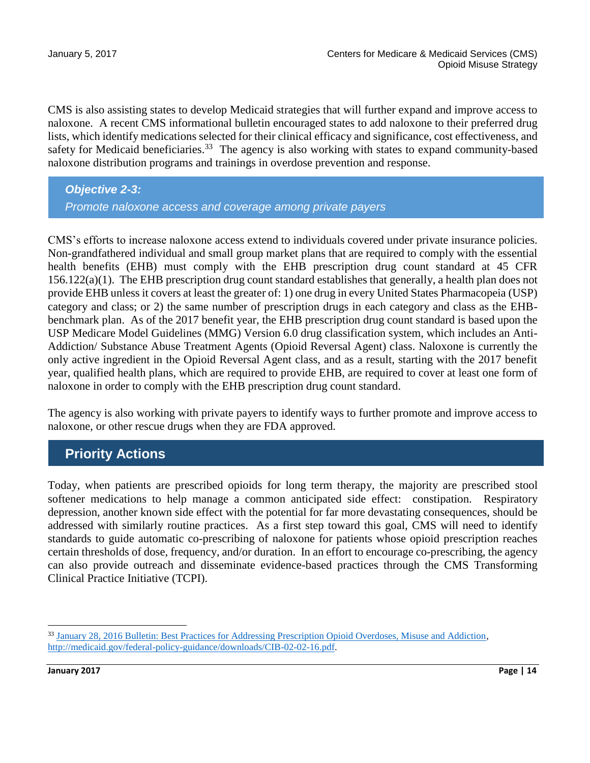CMS is also assisting states to develop Medicaid strategies that will further expand and improve access to naloxone. A recent CMS informational bulletin encouraged states to add naloxone to their preferred drug lists, which identify medications selected for their clinical efficacy and significance, cost effectiveness, and safety for Medicaid beneficiaries.<sup>33</sup> The agency is also working with states to expand community-based naloxone distribution programs and trainings in overdose prevention and response.

*Objective 2-3: Promote naloxone access and coverage among private payers*

CMS's efforts to increase naloxone access extend to individuals covered under private insurance policies. Non-grandfathered individual and small group market plans that are required to comply with the essential health benefits (EHB) must comply with the EHB prescription drug count standard at 45 CFR 156.122(a)(1). The EHB prescription drug count standard establishes that generally, a health plan does not provide EHB unless it covers at least the greater of: 1) one drug in every United States Pharmacopeia (USP) category and class; or 2) the same number of prescription drugs in each category and class as the EHBbenchmark plan. As of the 2017 benefit year, the EHB prescription drug count standard is based upon the USP Medicare Model Guidelines (MMG) Version 6.0 drug classification system, which includes an Anti-Addiction/ Substance Abuse Treatment Agents (Opioid Reversal Agent) class. Naloxone is currently the only active ingredient in the Opioid Reversal Agent class, and as a result, starting with the 2017 benefit year, qualified health plans, which are required to provide EHB, are required to cover at least one form of naloxone in order to comply with the EHB prescription drug count standard.

The agency is also working with private payers to identify ways to further promote and improve access to naloxone, or other rescue drugs when they are FDA approved.

#### **Priority Actions**

Today, when patients are prescribed opioids for long term therapy, the majority are prescribed stool softener medications to help manage a common anticipated side effect: constipation. Respiratory depression, another known side effect with the potential for far more devastating consequences, should be addressed with similarly routine practices. As a first step toward this goal, CMS will need to identify standards to guide automatic co-prescribing of naloxone for patients whose opioid prescription reaches certain thresholds of dose, frequency, and/or duration. In an effort to encourage co-prescribing, the agency can also provide outreach and disseminate evidence-based practices through the CMS Transforming Clinical Practice Initiative (TCPI).

 $\overline{a}$ <sup>33</sup> [January 28, 2016 Bulletin: Best Practices for Addressing Prescription Opioid Overdoses, Misuse and Addiction,](http://medicaid.gov/federal-policy-guidance/downloads/CIB-02-02-16.pdf) [http://medicaid.gov/federal-policy-guidance/downloads/CIB-02-02-16.pdf.](http://medicaid.gov/federal-policy-guidance/downloads/CIB-02-02-16.pdf)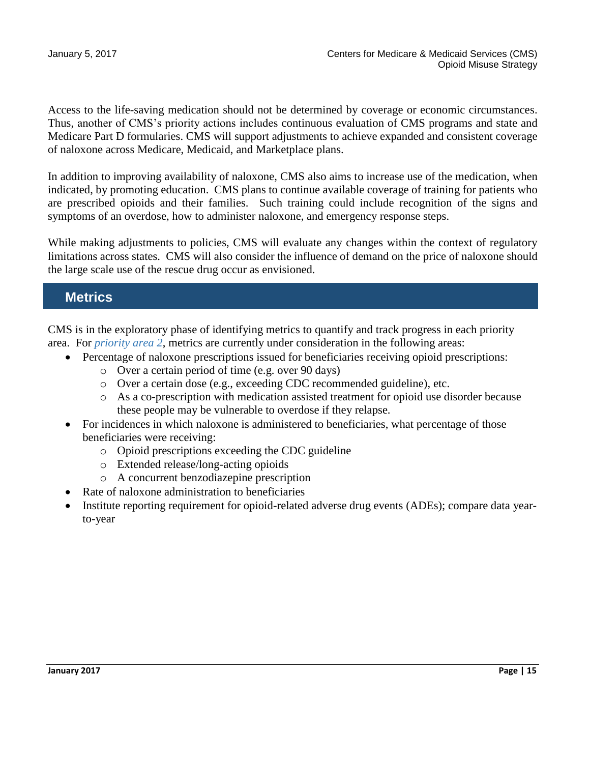Access to the life-saving medication should not be determined by coverage or economic circumstances. Thus, another of CMS's priority actions includes continuous evaluation of CMS programs and state and Medicare Part D formularies. CMS will support adjustments to achieve expanded and consistent coverage of naloxone across Medicare, Medicaid, and Marketplace plans.

In addition to improving availability of naloxone, CMS also aims to increase use of the medication, when indicated, by promoting education. CMS plans to continue available coverage of training for patients who are prescribed opioids and their families. Such training could include recognition of the signs and symptoms of an overdose, how to administer naloxone, and emergency response steps.

While making adjustments to policies, CMS will evaluate any changes within the context of regulatory limitations across states. CMS will also consider the influence of demand on the price of naloxone should the large scale use of the rescue drug occur as envisioned.

## **Metrics**

CMS is in the exploratory phase of identifying metrics to quantify and track progress in each priority area. For *priority area 2*, metrics are currently under consideration in the following areas:

- Percentage of naloxone prescriptions issued for beneficiaries receiving opioid prescriptions:
	- o Over a certain period of time (e.g. over 90 days)
	- o Over a certain dose (e.g., exceeding CDC recommended guideline), etc.
	- o As a co-prescription with medication assisted treatment for opioid use disorder because these people may be vulnerable to overdose if they relapse.
- For incidences in which naloxone is administered to beneficiaries, what percentage of those beneficiaries were receiving:
	- o Opioid prescriptions exceeding the CDC guideline
	- o Extended release/long-acting opioids
	- o A concurrent benzodiazepine prescription
	- Rate of naloxone administration to beneficiaries
- Institute reporting requirement for opioid-related adverse drug events (ADEs); compare data yearto-year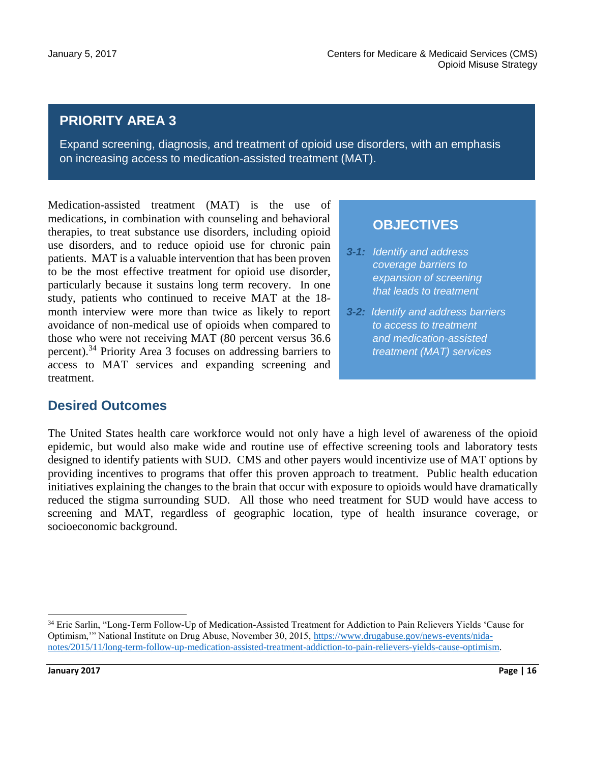.

## **PRIORITY AREA 3**

Expand screening, diagnosis, and treatment of opioid use disorders, with an emphasis on increasing access to medication-assisted treatment (MAT).

Medication-assisted treatment (MAT) is the use of medications, in combination with counseling and behavioral therapies, to treat substance use disorders, including opioid use disorders, and to reduce opioid use for chronic pain patients. MAT is a valuable intervention that has been proven to be the most effective treatment for opioid use disorder, particularly because it sustains long term recovery. In one study, patients who continued to receive MAT at the 18 month interview were more than twice as likely to report avoidance of non-medical use of opioids when compared to those who were not receiving MAT (80 percent versus 36.6 percent).<sup>34</sup> Priority Area 3 focuses on addressing barriers to access to MAT services and expanding screening and treatment.

#### **OBJECTIVES**

- *3-1: Identify and address coverage barriers to expansion of screening that leads to treatment*
- *3-2: Identify and address barriers to access to treatment and medication-assisted treatment (MAT) services*

#### **Desired Outcomes**

The United States health care workforce would not only have a high level of awareness of the opioid epidemic, but would also make wide and routine use of effective screening tools and laboratory tests designed to identify patients with SUD. CMS and other payers would incentivize use of MAT options by providing incentives to programs that offer this proven approach to treatment. Public health education initiatives explaining the changes to the brain that occur with exposure to opioids would have dramatically reduced the stigma surrounding SUD. All those who need treatment for SUD would have access to screening and MAT, regardless of geographic location, type of health insurance coverage, or socioeconomic background.

<sup>34</sup> Eric Sarlin, "Long-Term Follow-Up of Medication-Assisted Treatment for Addiction to Pain Relievers Yields 'Cause for Optimism,'" National Institute on Drug Abuse, November 30, 2015, [https://www.drugabuse.gov/news-events/nida](https://www.drugabuse.gov/news-events/nida-notes/2015/11/long-term-follow-up-medication-assisted-treatment-addiction-to-pain-relievers-yields-cause-optimism)[notes/2015/11/long-term-follow-up-medication-assisted-treatment-addiction-to-pain-relievers-yields-cause-optimism.](https://www.drugabuse.gov/news-events/nida-notes/2015/11/long-term-follow-up-medication-assisted-treatment-addiction-to-pain-relievers-yields-cause-optimism)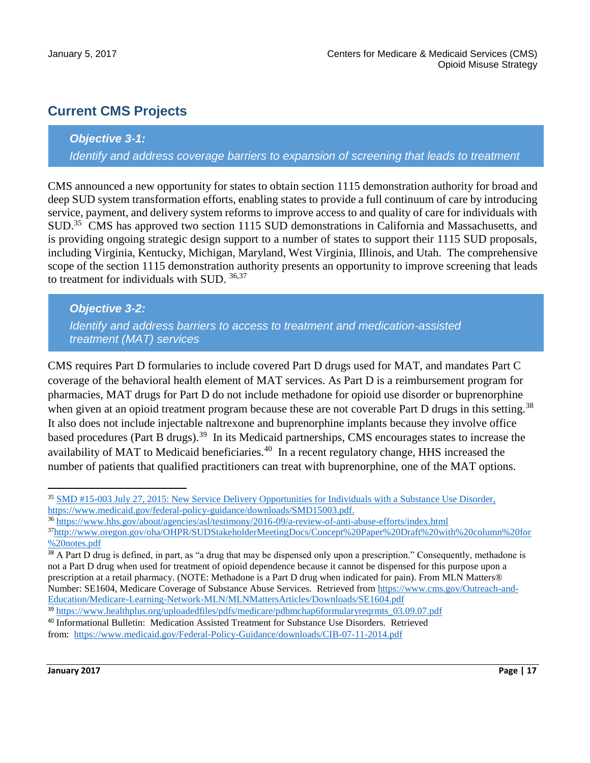## **Current CMS Projects**

#### *Objective 3-1:*

*Identify and address coverage barriers to expansion of screening that leads to treatment*

CMS announced a new opportunity for states to obtain section 1115 demonstration authority for broad and deep SUD system transformation efforts, enabling states to provide a full continuum of care by introducing service, payment, and delivery system reforms to improve access to and quality of care for individuals with SUD.<sup>35</sup> CMS has approved two section 1115 SUD demonstrations in California and Massachusetts, and is providing ongoing strategic design support to a number of states to support their 1115 SUD proposals, including Virginia, Kentucky, Michigan, Maryland, West Virginia, Illinois, and Utah. The comprehensive scope of the section 1115 demonstration authority presents an opportunity to improve screening that leads to treatment for individuals with SUD. 36,37

#### *Objective 3-2:*

*Identify and address barriers to access to treatment and medication-assisted treatment (MAT) services*

CMS requires Part D formularies to include covered Part D drugs used for MAT, and mandates Part C coverage of the behavioral health element of MAT services. As Part D is a reimbursement program for pharmacies, MAT drugs for Part D do not include methadone for opioid use disorder or buprenorphine when given at an opioid treatment program because these are not coverable Part D drugs in this setting.<sup>38</sup> It also does not include injectable naltrexone and buprenorphine implants because they involve office based procedures (Part B drugs).<sup>39</sup> In its Medicaid partnerships, CMS encourages states to increase the availability of MAT to Medicaid beneficiaries.<sup>40</sup> In a recent regulatory change, HHS increased the number of patients that qualified practitioners can treat with buprenorphine, one of the MAT options.

 $\overline{a}$ <sup>35</sup> [SMD #15-003 July 27, 2015: New Service Delivery Opportunities for Individuals with a Substance Use Disorder,](https://www.medicaid.gov/federal-policy-guidance/downloads/SMD15003.pdf) [https://www.medicaid.gov/federal-policy-guidance/downloads/SMD15003.pdf.](https://www.medicaid.gov/federal-policy-guidance/downloads/SMD15003.pdf)

<sup>36</sup> <https://www.hhs.gov/about/agencies/asl/testimony/2016-09/a-review-of-anti-abuse-efforts/index.html>

<sup>37</sup>[http://www.oregon.gov/oha/OHPR/SUDStakeholderMeetingDocs/Concept%20Paper%20Draft%20with%20column%20for](http://www.oregon.gov/oha/OHPR/SUDStakeholderMeetingDocs/Concept%20Paper%20Draft%20with%20column%20for%20notes.pdf) [%20notes.pdf](http://www.oregon.gov/oha/OHPR/SUDStakeholderMeetingDocs/Concept%20Paper%20Draft%20with%20column%20for%20notes.pdf)

<sup>&</sup>lt;sup>38</sup> A Part D drug is defined, in part, as "a drug that may be dispensed only upon a prescription." Consequently, methadone is not a Part D drug when used for treatment of opioid dependence because it cannot be dispensed for this purpose upon a prescription at a retail pharmacy. (NOTE: Methadone is a Part D drug when indicated for pain). From MLN Matters® Number: SE1604, Medicare Coverage of Substance Abuse Services. Retrieved from [https://www.cms.gov/Outreach-and-](https://www.cms.gov/Outreach-and-Education/Medicare-Learning-Network-MLN/MLNMattersArticles/Downloads/SE1604.pdf)[Education/Medicare-Learning-Network-MLN/MLNMattersArticles/Downloads/SE1604.pdf](https://www.cms.gov/Outreach-and-Education/Medicare-Learning-Network-MLN/MLNMattersArticles/Downloads/SE1604.pdf)

<sup>39</sup> [https://www.healthplus.org/uploadedfiles/pdfs/medicare/pdbmchap6formularyreqrmts\\_03.09.07.pdf](https://www.healthplus.org/uploadedfiles/pdfs/medicare/pdbmchap6formularyreqrmts_03.09.07.pdf)

<sup>40</sup> Informational Bulletin: Medication Assisted Treatment for Substance Use Disorders. Retrieved from: <https://www.medicaid.gov/Federal-Policy-Guidance/downloads/CIB-07-11-2014.pdf>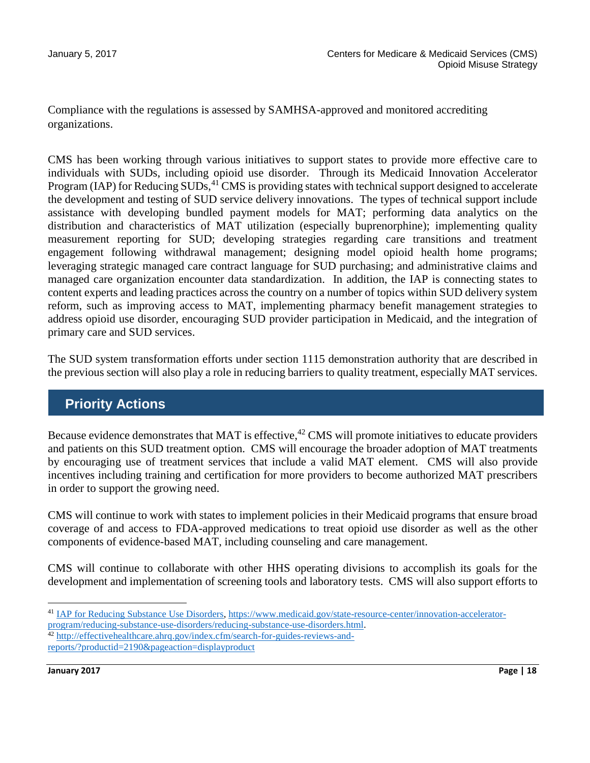Compliance with the regulations is assessed by SAMHSA-approved and monitored accrediting organizations.

CMS has been working through various initiatives to support states to provide more effective care to individuals with SUDs, including opioid use disorder. Through its Medicaid Innovation Accelerator Program (IAP) for Reducing SUDs,<sup>41</sup> CMS is providing states with technical support designed to accelerate the development and testing of SUD service delivery innovations. The types of technical support include assistance with developing bundled payment models for MAT; performing data analytics on the distribution and characteristics of MAT utilization (especially buprenorphine); implementing quality measurement reporting for SUD; developing strategies regarding care transitions and treatment engagement following withdrawal management; designing model opioid health home programs; leveraging strategic managed care contract language for SUD purchasing; and administrative claims and managed care organization encounter data standardization. In addition, the IAP is connecting states to content experts and leading practices across the country on a number of topics within SUD delivery system reform, such as improving access to MAT, implementing pharmacy benefit management strategies to address opioid use disorder, encouraging SUD provider participation in Medicaid, and the integration of primary care and SUD services.

The SUD system transformation efforts under section 1115 demonstration authority that are described in the previous section will also play a role in reducing barriers to quality treatment, especially MAT services.

## **Priority Actions**

Because evidence demonstrates that MAT is effective,<sup>42</sup> CMS will promote initiatives to educate providers and patients on this SUD treatment option. CMS will encourage the broader adoption of MAT treatments by encouraging use of treatment services that include a valid MAT element. CMS will also provide incentives including training and certification for more providers to become authorized MAT prescribers in order to support the growing need.

CMS will continue to work with states to implement policies in their Medicaid programs that ensure broad coverage of and access to FDA-approved medications to treat opioid use disorder as well as the other components of evidence-based MAT, including counseling and care management.

CMS will continue to collaborate with other HHS operating divisions to accomplish its goals for the development and implementation of screening tools and laboratory tests. CMS will also support efforts to

 $\ddot{\phantom{a}}$ <sup>41</sup> [IAP for Reducing Substance Use Disorders, https://www.medicaid.gov/state-resource-center/innovation-accelerator](https://www.medicaid.gov/state-resource-center/innovation-accelerator-program/reducing-substance-use-disorders/reducing-substance-use-disorders.html)[program/reducing-substance-use-disorders/reducing-substance-use-disorders.html.](https://www.medicaid.gov/state-resource-center/innovation-accelerator-program/reducing-substance-use-disorders/reducing-substance-use-disorders.html)

<sup>42</sup> [http://effectivehealthcare.ahrq.gov/index.cfm/search-for-guides-reviews-and](http://effectivehealthcare.ahrq.gov/index.cfm/search-for-guides-reviews-and-reports/?productid=2190&pageaction=displayproduct)[reports/?productid=2190&pageaction=displayproduct](http://effectivehealthcare.ahrq.gov/index.cfm/search-for-guides-reviews-and-reports/?productid=2190&pageaction=displayproduct)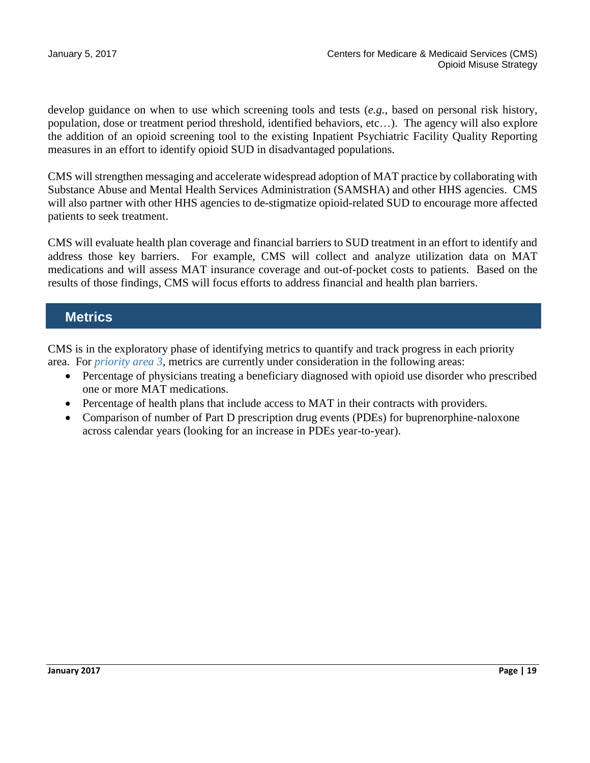develop guidance on when to use which screening tools and tests (*e.g.*, based on personal risk history, population, dose or treatment period threshold, identified behaviors, etc…). The agency will also explore the addition of an opioid screening tool to the existing Inpatient Psychiatric Facility Quality Reporting measures in an effort to identify opioid SUD in disadvantaged populations.

CMS will strengthen messaging and accelerate widespread adoption of MAT practice by collaborating with Substance Abuse and Mental Health Services Administration (SAMSHA) and other HHS agencies. CMS will also partner with other HHS agencies to de-stigmatize opioid-related SUD to encourage more affected patients to seek treatment.

CMS will evaluate health plan coverage and financial barriers to SUD treatment in an effort to identify and address those key barriers. For example, CMS will collect and analyze utilization data on MAT medications and will assess MAT insurance coverage and out-of-pocket costs to patients. Based on the results of those findings, CMS will focus efforts to address financial and health plan barriers.

## **Metrics**

CMS is in the exploratory phase of identifying metrics to quantify and track progress in each priority area. For *priority area 3*, metrics are currently under consideration in the following areas:

- Percentage of physicians treating a beneficiary diagnosed with opioid use disorder who prescribed one or more MAT medications.
- Percentage of health plans that include access to MAT in their contracts with providers.
- Comparison of number of Part D prescription drug events (PDEs) for buprenorphine-naloxone across calendar years (looking for an increase in PDEs year-to-year).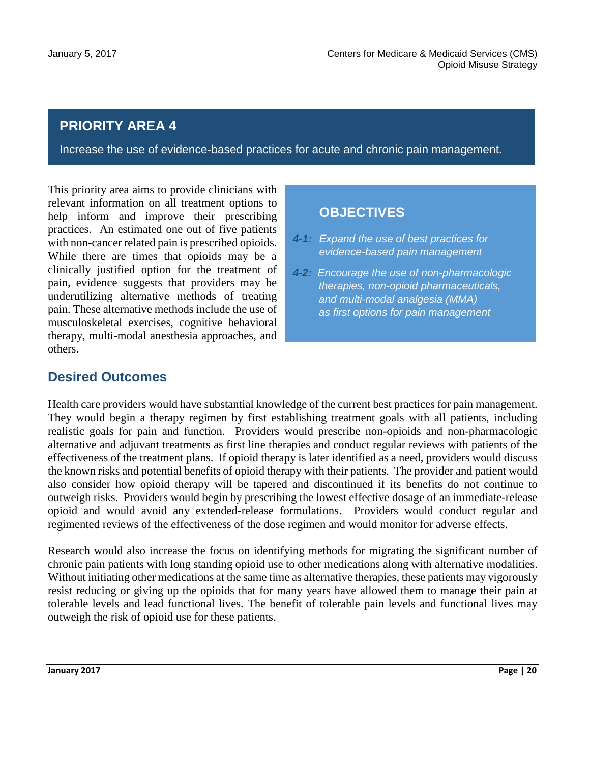## **PRIORITY AREA 4**

Increase the use of evidence-based practices for acute and chronic pain management.

This priority area aims to provide clinicians with relevant information on all treatment options to help inform and improve their prescribing practices. An estimated one out of five patients with non-cancer related pain is prescribed opioids. While there are times that opioids may be a clinically justified option for the treatment of pain, evidence suggests that providers may be underutilizing alternative methods of treating pain. These alternative methods include the use of musculoskeletal exercises, cognitive behavioral therapy, multi-modal anesthesia approaches, and others.

### **OBJECTIVES**

- *4-1: Expand the use of best practices for evidence-based pain management*
- *4-2: Encourage the use of non-pharmacologic therapies, non-opioid pharmaceuticals, and multi-modal analgesia (MMA) as first options for pain management*

### **Desired Outcomes**

Health care providers would have substantial knowledge of the current best practices for pain management. They would begin a therapy regimen by first establishing treatment goals with all patients, including realistic goals for pain and function. Providers would prescribe non-opioids and non-pharmacologic alternative and adjuvant treatments as first line therapies and conduct regular reviews with patients of the effectiveness of the treatment plans. If opioid therapy is later identified as a need, providers would discuss the known risks and potential benefits of opioid therapy with their patients. The provider and patient would also consider how opioid therapy will be tapered and discontinued if its benefits do not continue to outweigh risks. Providers would begin by prescribing the lowest effective dosage of an immediate-release opioid and would avoid any extended-release formulations. Providers would conduct regular and regimented reviews of the effectiveness of the dose regimen and would monitor for adverse effects.

Research would also increase the focus on identifying methods for migrating the significant number of chronic pain patients with long standing opioid use to other medications along with alternative modalities. Without initiating other medications at the same time as alternative therapies, these patients may vigorously resist reducing or giving up the opioids that for many years have allowed them to manage their pain at tolerable levels and lead functional lives. The benefit of tolerable pain levels and functional lives may outweigh the risk of opioid use for these patients.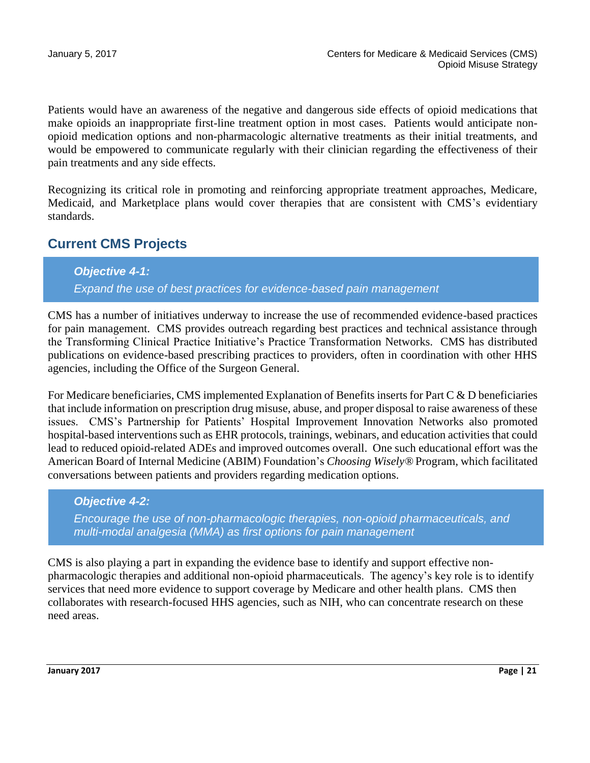Patients would have an awareness of the negative and dangerous side effects of opioid medications that make opioids an inappropriate first-line treatment option in most cases. Patients would anticipate nonopioid medication options and non-pharmacologic alternative treatments as their initial treatments, and would be empowered to communicate regularly with their clinician regarding the effectiveness of their pain treatments and any side effects.

Recognizing its critical role in promoting and reinforcing appropriate treatment approaches, Medicare, Medicaid, and Marketplace plans would cover therapies that are consistent with CMS's evidentiary standards.

### **Current CMS Projects**

#### *Objective 4-1:*

*Expand the use of best practices for evidence-based pain management*

CMS has a number of initiatives underway to increase the use of recommended evidence-based practices for pain management. CMS provides outreach regarding best practices and technical assistance through the Transforming Clinical Practice Initiative's Practice Transformation Networks. CMS has distributed publications on evidence-based prescribing practices to providers, often in coordination with other HHS agencies, including the Office of the Surgeon General.

For Medicare beneficiaries, CMS implemented Explanation of Benefits inserts for Part C & D beneficiaries that include information on prescription drug misuse, abuse, and proper disposal to raise awareness of these issues. CMS's Partnership for Patients' Hospital Improvement Innovation Networks also promoted hospital-based interventions such as EHR protocols, trainings, webinars, and education activities that could lead to reduced opioid-related ADEs and improved outcomes overall. One such educational effort was the American Board of Internal Medicine (ABIM) Foundation's *Choosing Wisely®* Program, which facilitated conversations between patients and providers regarding medication options.

#### *Objective 4-2:*

*Encourage the use of non-pharmacologic therapies, non-opioid pharmaceuticals, and multi-modal analgesia (MMA) as first options for pain management*

CMS is also playing a part in expanding the evidence base to identify and support effective nonpharmacologic therapies and additional non-opioid pharmaceuticals. The agency's key role is to identify services that need more evidence to support coverage by Medicare and other health plans. CMS then collaborates with research-focused HHS agencies, such as NIH, who can concentrate research on these need areas.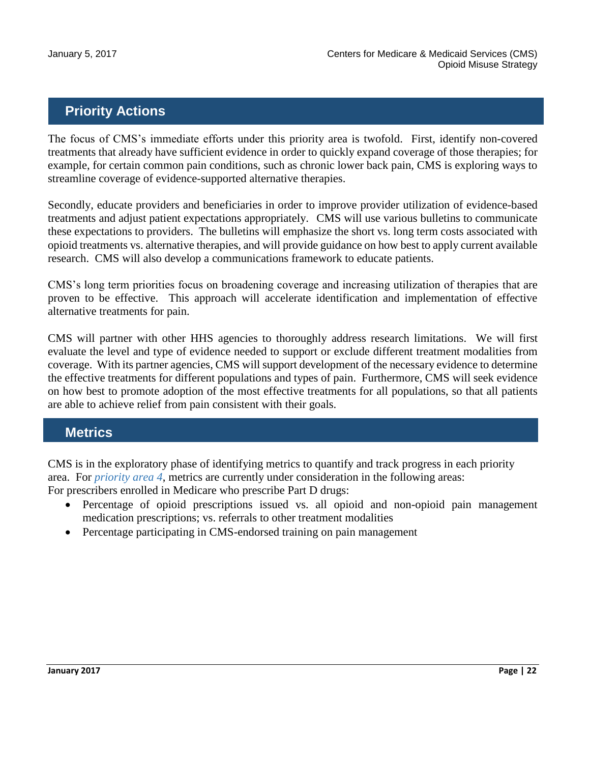## **Priority Actions**

The focus of CMS's immediate efforts under this priority area is twofold. First, identify non-covered treatments that already have sufficient evidence in order to quickly expand coverage of those therapies; for example, for certain common pain conditions, such as chronic lower back pain, CMS is exploring ways to streamline coverage of evidence-supported alternative therapies.

Secondly, educate providers and beneficiaries in order to improve provider utilization of evidence-based treatments and adjust patient expectations appropriately. CMS will use various bulletins to communicate these expectations to providers. The bulletins will emphasize the short vs. long term costs associated with opioid treatments vs. alternative therapies, and will provide guidance on how best to apply current available research. CMS will also develop a communications framework to educate patients.

CMS's long term priorities focus on broadening coverage and increasing utilization of therapies that are proven to be effective. This approach will accelerate identification and implementation of effective alternative treatments for pain.

CMS will partner with other HHS agencies to thoroughly address research limitations. We will first evaluate the level and type of evidence needed to support or exclude different treatment modalities from coverage. With its partner agencies, CMS will support development of the necessary evidence to determine the effective treatments for different populations and types of pain. Furthermore, CMS will seek evidence on how best to promote adoption of the most effective treatments for all populations, so that all patients are able to achieve relief from pain consistent with their goals.

## **Metrics**

CMS is in the exploratory phase of identifying metrics to quantify and track progress in each priority area. For *priority area 4*, metrics are currently under consideration in the following areas: For prescribers enrolled in Medicare who prescribe Part D drugs:

- Percentage of opioid prescriptions issued vs. all opioid and non-opioid pain management medication prescriptions; vs. referrals to other treatment modalities
- Percentage participating in CMS-endorsed training on pain management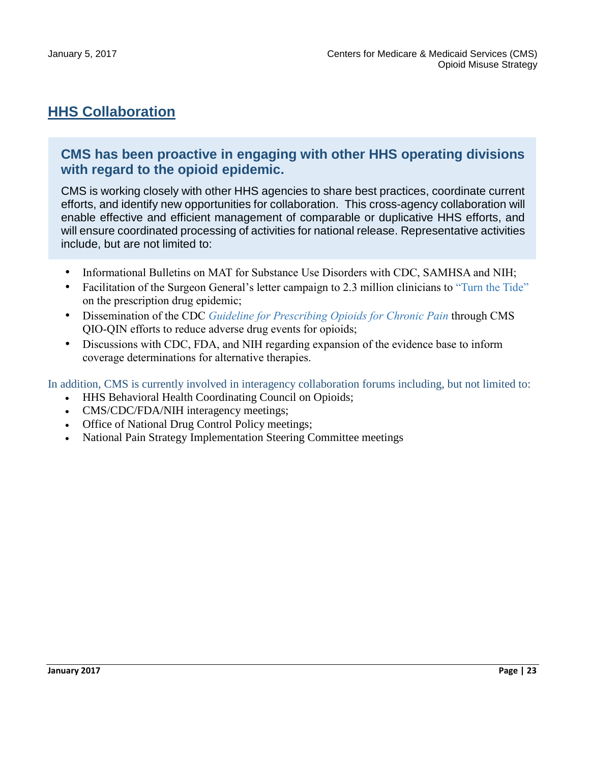## **HHS Collaboration**

#### **CMS has been proactive in engaging with other HHS operating divisions with regard to the opioid epidemic.**

CMS is working closely with other HHS agencies to share best practices, coordinate current efforts, and identify new opportunities for collaboration. This cross-agency collaboration will enable effective and efficient management of comparable or duplicative HHS efforts, and will ensure coordinated processing of activities for national release. Representative activities include, but are not limited to:

- Informational Bulletins on MAT for Substance Use Disorders with CDC, SAMHSA and NIH;
- Facilitation of the Surgeon General's letter campaign to 2.3 million clinicians to "Turn the Tide" on the prescription drug epidemic;
- Dissemination of the CDC *Guideline for Prescribing Opioids for Chronic Pain* through CMS QIO-QIN efforts to reduce adverse drug events for opioids;
- Discussions with CDC, FDA, and NIH regarding expansion of the evidence base to inform coverage determinations for alternative therapies.

In addition, CMS is currently involved in interagency collaboration forums including, but not limited to:

- HHS Behavioral Health Coordinating Council on Opioids;
- CMS/CDC/FDA/NIH interagency meetings;
- Office of National Drug Control Policy meetings;
- National Pain Strategy Implementation Steering Committee meetings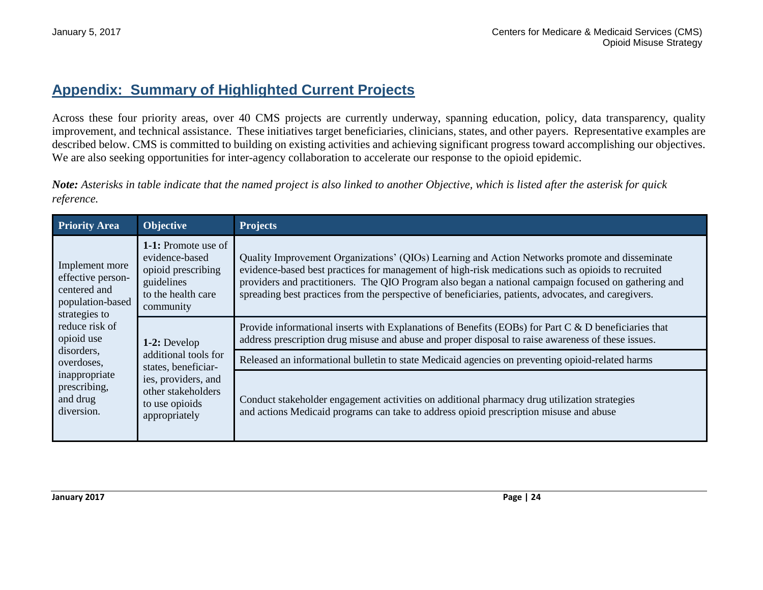## **Appendix: Summary of Highlighted Current Projects**

Across these four priority areas, over 40 CMS projects are currently underway, spanning education, policy, data transparency, quality improvement, and technical assistance. These initiatives target beneficiaries, clinicians, states, and other payers. Representative examples are described below. CMS is committed to building on existing activities and achieving significant progress toward accomplishing our objectives. We are also seeking opportunities for inter-agency collaboration to accelerate our response to the opioid epidemic.

*Note: Asterisks in table indicate that the named project is also linked to another Objective, which is listed after the asterisk for quick reference.*

| <b>Priority Area</b>                                                                                                                                                                                            | Objective                                                                                                                                   | <b>Projects</b>                                                                                                                                                                                                                                                                                                                                                                                                      |
|-----------------------------------------------------------------------------------------------------------------------------------------------------------------------------------------------------------------|---------------------------------------------------------------------------------------------------------------------------------------------|----------------------------------------------------------------------------------------------------------------------------------------------------------------------------------------------------------------------------------------------------------------------------------------------------------------------------------------------------------------------------------------------------------------------|
| Implement more<br>effective person-<br>centered and<br>population-based<br>strategies to<br>reduce risk of<br>opioid use<br>disorders,<br>overdoses,<br>inappropriate<br>prescribing,<br>and drug<br>diversion. | 1-1: Promote use of<br>evidence-based<br>opioid prescribing<br>guidelines<br>to the health care<br>community                                | Quality Improvement Organizations' (QIOs) Learning and Action Networks promote and disseminate<br>evidence-based best practices for management of high-risk medications such as opioids to recruited<br>providers and practitioners. The QIO Program also began a national campaign focused on gathering and<br>spreading best practices from the perspective of beneficiaries, patients, advocates, and caregivers. |
|                                                                                                                                                                                                                 | 1-2: Develop<br>additional tools for<br>states, beneficiar-<br>ies, providers, and<br>other stakeholders<br>to use opioids<br>appropriately | Provide informational inserts with Explanations of Benefits (EOBs) for Part C & D beneficiaries that<br>address prescription drug misuse and abuse and proper disposal to raise awareness of these issues.                                                                                                                                                                                                           |
|                                                                                                                                                                                                                 |                                                                                                                                             | Released an informational bulletin to state Medicaid agencies on preventing opioid-related harms                                                                                                                                                                                                                                                                                                                     |
|                                                                                                                                                                                                                 |                                                                                                                                             | Conduct stakeholder engagement activities on additional pharmacy drug utilization strategies<br>and actions Medicaid programs can take to address opioid prescription misuse and abuse                                                                                                                                                                                                                               |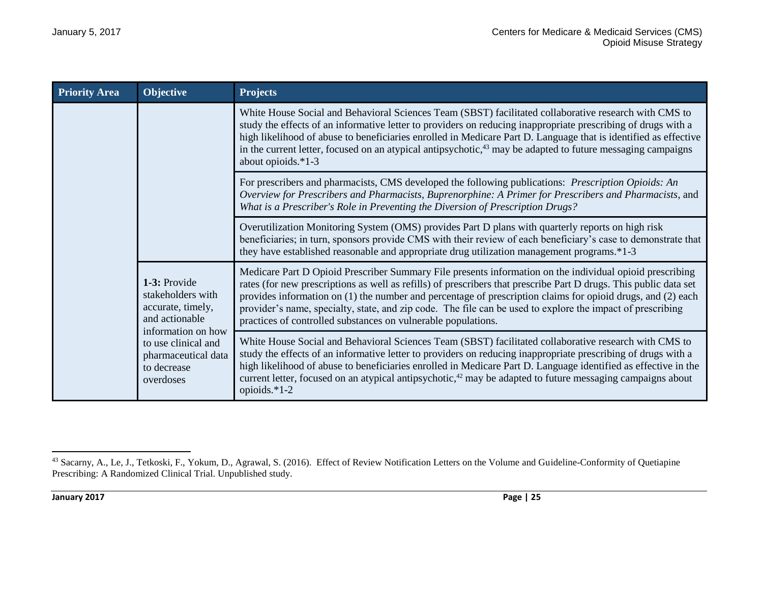| <b>Priority Area</b> | Objective                                                                                                                                                                | <b>Projects</b>                                                                                                                                                                                                                                                                                                                                                                                                                                                                                                             |
|----------------------|--------------------------------------------------------------------------------------------------------------------------------------------------------------------------|-----------------------------------------------------------------------------------------------------------------------------------------------------------------------------------------------------------------------------------------------------------------------------------------------------------------------------------------------------------------------------------------------------------------------------------------------------------------------------------------------------------------------------|
|                      |                                                                                                                                                                          | White House Social and Behavioral Sciences Team (SBST) facilitated collaborative research with CMS to<br>study the effects of an informative letter to providers on reducing inappropriate prescribing of drugs with a<br>high likelihood of abuse to beneficiaries enrolled in Medicare Part D. Language that is identified as effective<br>in the current letter, focused on an atypical antipsychotic, $43$ may be adapted to future messaging campaigns<br>about opioids.*1-3                                           |
|                      |                                                                                                                                                                          | For prescribers and pharmacists, CMS developed the following publications: Prescription Opioids: An<br>Overview for Prescribers and Pharmacists, Buprenorphine: A Primer for Prescribers and Pharmacists, and<br>What is a Prescriber's Role in Preventing the Diversion of Prescription Drugs?                                                                                                                                                                                                                             |
|                      |                                                                                                                                                                          | Overutilization Monitoring System (OMS) provides Part D plans with quarterly reports on high risk<br>beneficiaries; in turn, sponsors provide CMS with their review of each beneficiary's case to demonstrate that<br>they have established reasonable and appropriate drug utilization management programs.*1-3                                                                                                                                                                                                            |
|                      | 1-3: Provide<br>stakeholders with<br>accurate, timely,<br>and actionable<br>information on how<br>to use clinical and<br>pharmaceutical data<br>to decrease<br>overdoses | Medicare Part D Opioid Prescriber Summary File presents information on the individual opioid prescribing<br>rates (for new prescriptions as well as refills) of prescribers that prescribe Part D drugs. This public data set<br>provides information on (1) the number and percentage of prescription claims for opioid drugs, and (2) each<br>provider's name, specialty, state, and zip code. The file can be used to explore the impact of prescribing<br>practices of controlled substances on vulnerable populations. |
|                      |                                                                                                                                                                          | White House Social and Behavioral Sciences Team (SBST) facilitated collaborative research with CMS to<br>study the effects of an informative letter to providers on reducing inappropriate prescribing of drugs with a<br>high likelihood of abuse to beneficiaries enrolled in Medicare Part D. Language identified as effective in the<br>current letter, focused on an atypical antipsychotic, $42 \text{ may be adapted to future messaging campaigns about}$<br>opioids.*1-2                                           |

 $\overline{\phantom{a}}$ 43 Sacarny, A., Le, J., Tetkoski, F., Yokum, D., Agrawal, S. (2016). Effect of Review Notification Letters on the Volume and Guideline-Conformity of Quetiapine Prescribing: A Randomized Clinical Trial. Unpublished study.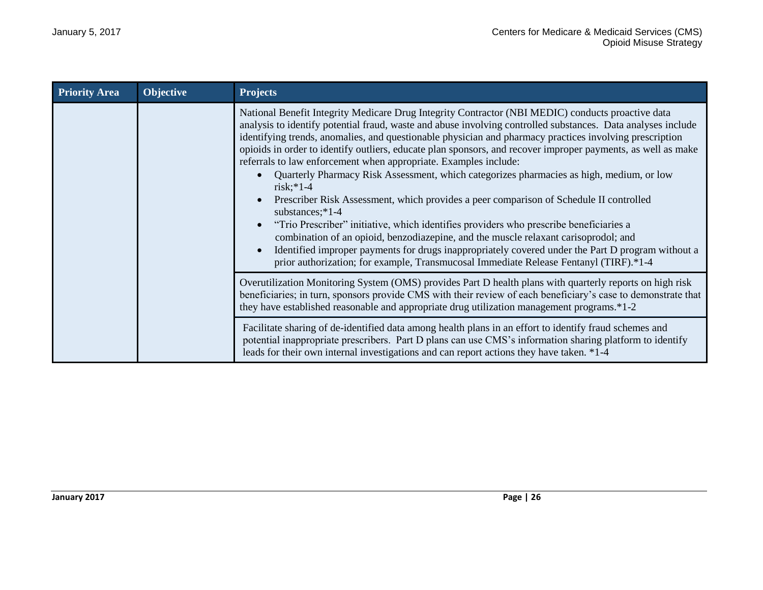| <b>Priority Area</b> | <b>Objective</b> | <b>Projects</b>                                                                                                                                                                                                                                                                                                                                                                                                                                                                                                                                                                                                                                                                                                                                                                                                                                                                                                                                                                                                                                                                                                                       |
|----------------------|------------------|---------------------------------------------------------------------------------------------------------------------------------------------------------------------------------------------------------------------------------------------------------------------------------------------------------------------------------------------------------------------------------------------------------------------------------------------------------------------------------------------------------------------------------------------------------------------------------------------------------------------------------------------------------------------------------------------------------------------------------------------------------------------------------------------------------------------------------------------------------------------------------------------------------------------------------------------------------------------------------------------------------------------------------------------------------------------------------------------------------------------------------------|
|                      |                  | National Benefit Integrity Medicare Drug Integrity Contractor (NBI MEDIC) conducts proactive data<br>analysis to identify potential fraud, waste and abuse involving controlled substances. Data analyses include<br>identifying trends, anomalies, and questionable physician and pharmacy practices involving prescription<br>opioids in order to identify outliers, educate plan sponsors, and recover improper payments, as well as make<br>referrals to law enforcement when appropriate. Examples include:<br>Quarterly Pharmacy Risk Assessment, which categorizes pharmacies as high, medium, or low<br>$risk; *1-4$<br>Prescriber Risk Assessment, which provides a peer comparison of Schedule II controlled<br>substances;*1-4<br>"Trio Prescriber" initiative, which identifies providers who prescribe beneficiaries a<br>combination of an opioid, benzodiazepine, and the muscle relaxant carisoprodol; and<br>Identified improper payments for drugs inappropriately covered under the Part D program without a<br>$\bullet$<br>prior authorization; for example, Transmucosal Immediate Release Fentanyl (TIRF).*1-4 |
|                      |                  | Overutilization Monitoring System (OMS) provides Part D health plans with quarterly reports on high risk<br>beneficiaries; in turn, sponsors provide CMS with their review of each beneficiary's case to demonstrate that<br>they have established reasonable and appropriate drug utilization management programs.*1-2                                                                                                                                                                                                                                                                                                                                                                                                                                                                                                                                                                                                                                                                                                                                                                                                               |
|                      |                  | Facilitate sharing of de-identified data among health plans in an effort to identify fraud schemes and<br>potential inappropriate prescribers. Part D plans can use CMS's information sharing platform to identify<br>leads for their own internal investigations and can report actions they have taken. *1-4                                                                                                                                                                                                                                                                                                                                                                                                                                                                                                                                                                                                                                                                                                                                                                                                                        |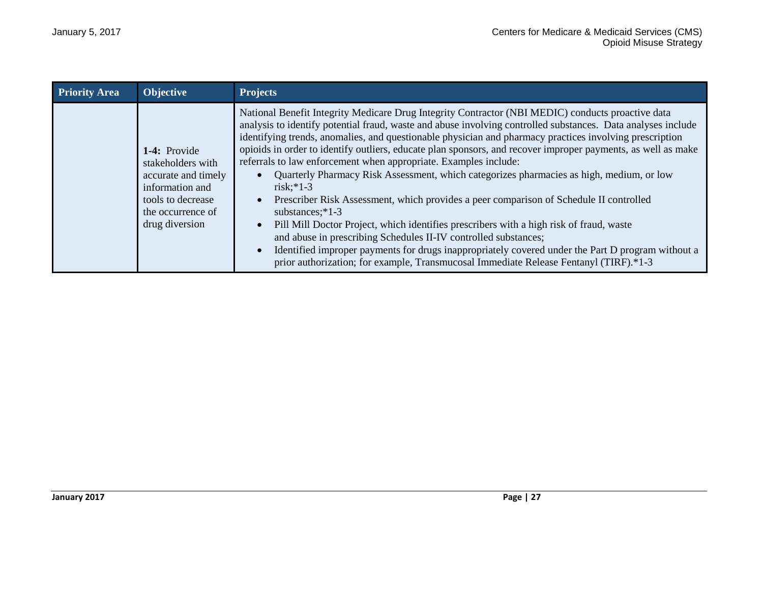| <b>Priority Area</b> | <b>Objective</b>                                                                                                                        | <b>Projects</b>                                                                                                                                                                                                                                                                                                                                                                                                                                                                                                                                                                                                                                                                                                                                                                                                                                                                                                                                                                                                                                                                                                                                           |
|----------------------|-----------------------------------------------------------------------------------------------------------------------------------------|-----------------------------------------------------------------------------------------------------------------------------------------------------------------------------------------------------------------------------------------------------------------------------------------------------------------------------------------------------------------------------------------------------------------------------------------------------------------------------------------------------------------------------------------------------------------------------------------------------------------------------------------------------------------------------------------------------------------------------------------------------------------------------------------------------------------------------------------------------------------------------------------------------------------------------------------------------------------------------------------------------------------------------------------------------------------------------------------------------------------------------------------------------------|
|                      | 1-4: Provide<br>stakeholders with<br>accurate and timely<br>information and<br>tools to decrease<br>the occurrence of<br>drug diversion | National Benefit Integrity Medicare Drug Integrity Contractor (NBI MEDIC) conducts proactive data<br>analysis to identify potential fraud, waste and abuse involving controlled substances. Data analyses include<br>identifying trends, anomalies, and questionable physician and pharmacy practices involving prescription<br>opioids in order to identify outliers, educate plan sponsors, and recover improper payments, as well as make<br>referrals to law enforcement when appropriate. Examples include:<br>Quarterly Pharmacy Risk Assessment, which categorizes pharmacies as high, medium, or low<br>$\bullet$<br>$risk$ :*1-3<br>Prescriber Risk Assessment, which provides a peer comparison of Schedule II controlled<br>$\bullet$<br>substances;*1-3<br>Pill Mill Doctor Project, which identifies prescribers with a high risk of fraud, waste<br>$\bullet$<br>and abuse in prescribing Schedules II-IV controlled substances;<br>Identified improper payments for drugs inappropriately covered under the Part D program without a<br>$\bullet$<br>prior authorization; for example, Transmucosal Immediate Release Fentanyl (TIRF).*1-3 |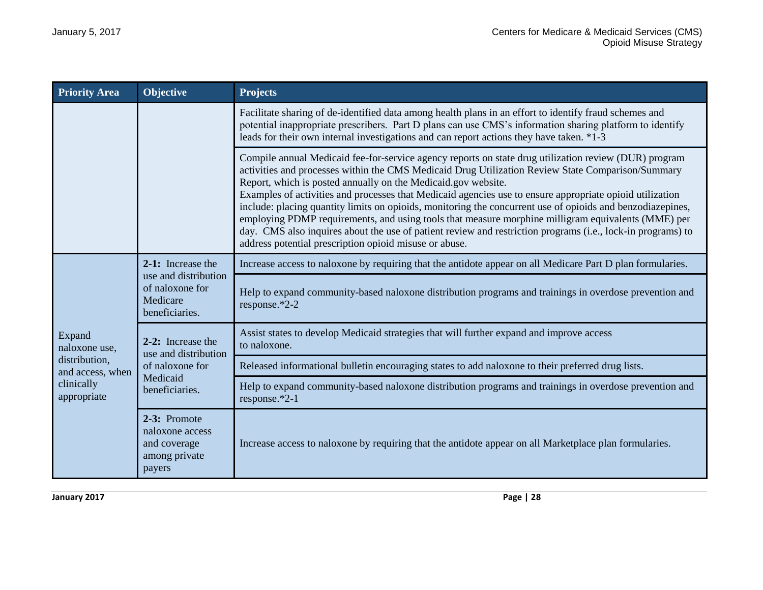| <b>Priority Area</b>                                                                      | Objective                                                                                  | <b>Projects</b>                                                                                                                                                                                                                                                                                                                                                                                                                                                                                                                                                                                                                                                                                                                                                                      |
|-------------------------------------------------------------------------------------------|--------------------------------------------------------------------------------------------|--------------------------------------------------------------------------------------------------------------------------------------------------------------------------------------------------------------------------------------------------------------------------------------------------------------------------------------------------------------------------------------------------------------------------------------------------------------------------------------------------------------------------------------------------------------------------------------------------------------------------------------------------------------------------------------------------------------------------------------------------------------------------------------|
|                                                                                           |                                                                                            | Facilitate sharing of de-identified data among health plans in an effort to identify fraud schemes and<br>potential inappropriate prescribers. Part D plans can use CMS's information sharing platform to identify<br>leads for their own internal investigations and can report actions they have taken. *1-3                                                                                                                                                                                                                                                                                                                                                                                                                                                                       |
|                                                                                           |                                                                                            | Compile annual Medicaid fee-for-service agency reports on state drug utilization review (DUR) program<br>activities and processes within the CMS Medicaid Drug Utilization Review State Comparison/Summary<br>Report, which is posted annually on the Medicaid.gov website.<br>Examples of activities and processes that Medicaid agencies use to ensure appropriate opioid utilization<br>include: placing quantity limits on opioids, monitoring the concurrent use of opioids and benzodiazepines,<br>employing PDMP requirements, and using tools that measure morphine milligram equivalents (MME) per<br>day. CMS also inquires about the use of patient review and restriction programs (i.e., lock-in programs) to<br>address potential prescription opioid misuse or abuse. |
|                                                                                           | 2-1: Increase the<br>use and distribution<br>of naloxone for<br>Medicare<br>beneficiaries. | Increase access to naloxone by requiring that the antidote appear on all Medicare Part D plan formularies.                                                                                                                                                                                                                                                                                                                                                                                                                                                                                                                                                                                                                                                                           |
| Expand<br>naloxone use,<br>distribution,<br>and access, when<br>clinically<br>appropriate |                                                                                            | Help to expand community-based naloxone distribution programs and trainings in overdose prevention and<br>response.*2-2                                                                                                                                                                                                                                                                                                                                                                                                                                                                                                                                                                                                                                                              |
|                                                                                           | 2-2: Increase the<br>use and distribution<br>of naloxone for<br>Medicaid<br>beneficiaries. | Assist states to develop Medicaid strategies that will further expand and improve access<br>to naloxone.                                                                                                                                                                                                                                                                                                                                                                                                                                                                                                                                                                                                                                                                             |
|                                                                                           |                                                                                            | Released informational bulletin encouraging states to add naloxone to their preferred drug lists.                                                                                                                                                                                                                                                                                                                                                                                                                                                                                                                                                                                                                                                                                    |
|                                                                                           |                                                                                            | Help to expand community-based naloxone distribution programs and trainings in overdose prevention and<br>response.*2-1                                                                                                                                                                                                                                                                                                                                                                                                                                                                                                                                                                                                                                                              |
|                                                                                           | 2-3: Promote<br>naloxone access<br>and coverage<br>among private<br>payers                 | Increase access to naloxone by requiring that the antidote appear on all Marketplace plan formularies.                                                                                                                                                                                                                                                                                                                                                                                                                                                                                                                                                                                                                                                                               |

**January 2017 Page | 28**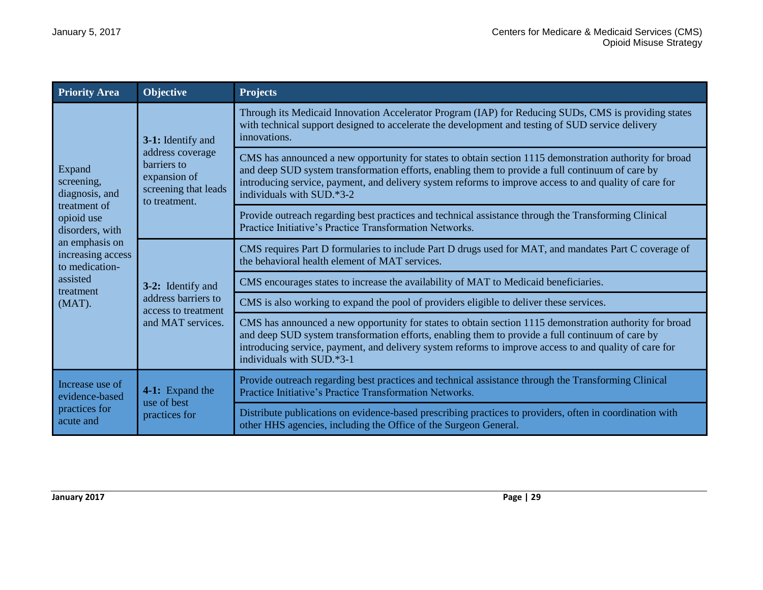| <b>Priority Area</b>                                                                                                                             | <b>Objective</b>                                                                                              | <b>Projects</b>                                                                                                                                                                                                                                                                                                                                    |
|--------------------------------------------------------------------------------------------------------------------------------------------------|---------------------------------------------------------------------------------------------------------------|----------------------------------------------------------------------------------------------------------------------------------------------------------------------------------------------------------------------------------------------------------------------------------------------------------------------------------------------------|
| Expand<br>screening,<br>diagnosis, and<br>treatment of<br>opioid use<br>disorders, with<br>an emphasis on<br>increasing access<br>to medication- | 3-1: Identify and<br>address coverage<br>barriers to<br>expansion of<br>screening that leads<br>to treatment. | Through its Medicaid Innovation Accelerator Program (IAP) for Reducing SUDs, CMS is providing states<br>with technical support designed to accelerate the development and testing of SUD service delivery<br>innovations.                                                                                                                          |
|                                                                                                                                                  |                                                                                                               | CMS has announced a new opportunity for states to obtain section 1115 demonstration authority for broad<br>and deep SUD system transformation efforts, enabling them to provide a full continuum of care by<br>introducing service, payment, and delivery system reforms to improve access to and quality of care for<br>individuals with SUD.*3-2 |
|                                                                                                                                                  |                                                                                                               | Provide outreach regarding best practices and technical assistance through the Transforming Clinical<br>Practice Initiative's Practice Transformation Networks.                                                                                                                                                                                    |
|                                                                                                                                                  | 3-2: Identify and<br>address barriers to<br>access to treatment<br>and MAT services.                          | CMS requires Part D formularies to include Part D drugs used for MAT, and mandates Part C coverage of<br>the behavioral health element of MAT services.                                                                                                                                                                                            |
| assisted<br>treatment                                                                                                                            |                                                                                                               | CMS encourages states to increase the availability of MAT to Medicaid beneficiaries.                                                                                                                                                                                                                                                               |
| $(MAT)$ .                                                                                                                                        |                                                                                                               | CMS is also working to expand the pool of providers eligible to deliver these services.                                                                                                                                                                                                                                                            |
|                                                                                                                                                  |                                                                                                               | CMS has announced a new opportunity for states to obtain section 1115 demonstration authority for broad<br>and deep SUD system transformation efforts, enabling them to provide a full continuum of care by<br>introducing service, payment, and delivery system reforms to improve access to and quality of care for<br>individuals with SUD.*3-1 |
| Increase use of<br>evidence-based<br>practices for<br>acute and                                                                                  | 4-1: Expand the<br>use of best<br>practices for                                                               | Provide outreach regarding best practices and technical assistance through the Transforming Clinical<br>Practice Initiative's Practice Transformation Networks.                                                                                                                                                                                    |
|                                                                                                                                                  |                                                                                                               | Distribute publications on evidence-based prescribing practices to providers, often in coordination with<br>other HHS agencies, including the Office of the Surgeon General.                                                                                                                                                                       |